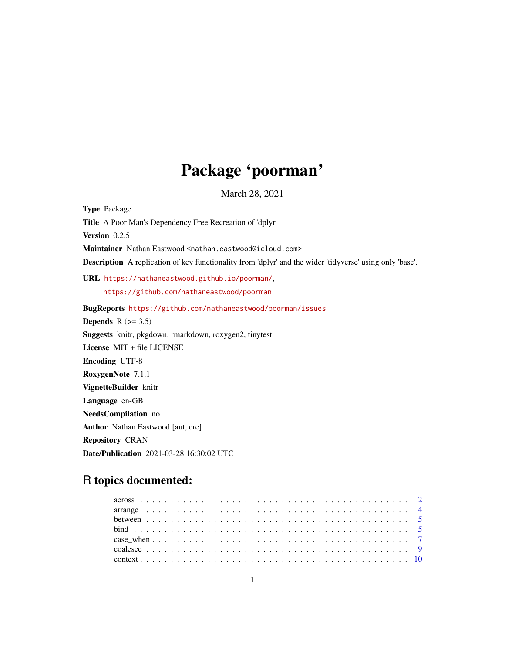# Package 'poorman'

March 28, 2021

<span id="page-0-0"></span>Type Package Title A Poor Man's Dependency Free Recreation of 'dplyr' Version 0.2.5 Maintainer Nathan Eastwood <nathan.eastwood@icloud.com> Description A replication of key functionality from 'dplyr' and the wider 'tidyverse' using only 'base'. URL <https://nathaneastwood.github.io/poorman/>, <https://github.com/nathaneastwood/poorman> BugReports <https://github.com/nathaneastwood/poorman/issues> Depends  $R$  ( $>= 3.5$ ) Suggests knitr, pkgdown, rmarkdown, roxygen2, tinytest License MIT + file LICENSE Encoding UTF-8 RoxygenNote 7.1.1 VignetteBuilder knitr Language en-GB NeedsCompilation no Author Nathan Eastwood [aut, cre] Repository CRAN

Date/Publication 2021-03-28 16:30:02 UTC

## R topics documented: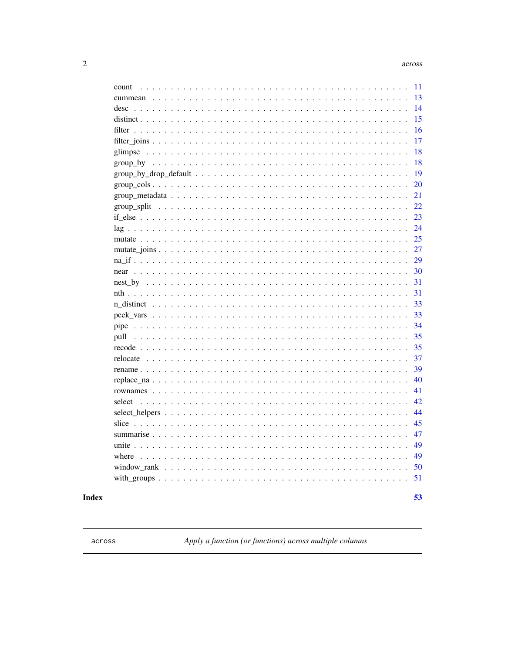53

<span id="page-1-0"></span>

| count                                                                                                             | 11 |
|-------------------------------------------------------------------------------------------------------------------|----|
|                                                                                                                   | 13 |
|                                                                                                                   | 14 |
|                                                                                                                   | 15 |
|                                                                                                                   | 16 |
|                                                                                                                   | 17 |
|                                                                                                                   | 18 |
|                                                                                                                   | 18 |
| $group_by_drop_default                 $                                                                          | 19 |
|                                                                                                                   | 20 |
| $group\_metadata \dots \dots \dots \dots \dots \dots \dots \dots \dots \dots \dots \dots \dots \dots \dots \dots$ | 21 |
|                                                                                                                   | 22 |
|                                                                                                                   | 23 |
|                                                                                                                   | 24 |
|                                                                                                                   | 25 |
|                                                                                                                   | 27 |
|                                                                                                                   | 29 |
|                                                                                                                   | 30 |
|                                                                                                                   | 31 |
|                                                                                                                   | 31 |
|                                                                                                                   | 33 |
|                                                                                                                   | 33 |
|                                                                                                                   | 34 |
|                                                                                                                   | 35 |
|                                                                                                                   | 35 |
|                                                                                                                   | 37 |
|                                                                                                                   | 39 |
|                                                                                                                   | 40 |
|                                                                                                                   | 41 |
|                                                                                                                   | 42 |
|                                                                                                                   | 44 |
|                                                                                                                   | 45 |
|                                                                                                                   | 47 |
|                                                                                                                   | 49 |
|                                                                                                                   | 49 |
|                                                                                                                   | 50 |
|                                                                                                                   | 51 |
|                                                                                                                   |    |

### **Index**

<span id="page-1-1"></span>across

Apply a function (or functions) across multiple columns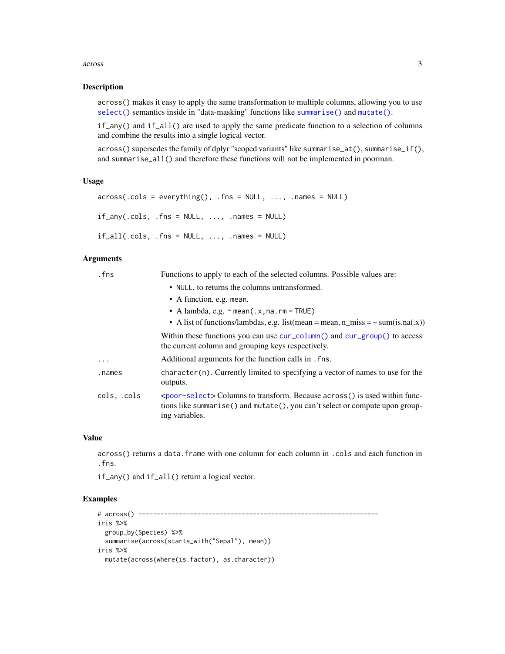#### <span id="page-2-0"></span>across 3

#### Description

across() makes it easy to apply the same transformation to multiple columns, allowing you to use [select\(\)](#page-41-1) semantics inside in "data-masking" functions like [summarise\(\)](#page-46-1) and [mutate\(\)](#page-24-1).

if\_any() and if\_all() are used to apply the same predicate function to a selection of columns and combine the results into a single logical vector.

across() supersedes the family of dplyr "scoped variants" like summarise\_at(), summarise\_if(), and summarise\_all() and therefore these functions will not be implemented in poorman.

### Usage

```
across(.cols = everything(), .fns = NULL, ..., .names = NULL)if<sub>-any</sub>(.cols, .fns = NULL, ..., .names = NULL)
if\_all(.cols, .fns = NULL, . . . , .names = NULL)
```
### Arguments

| .fns        | Functions to apply to each of the selected columns. Possible values are:                                                                                                                    |  |  |
|-------------|---------------------------------------------------------------------------------------------------------------------------------------------------------------------------------------------|--|--|
|             | • NULL, to returns the columns untransformed.                                                                                                                                               |  |  |
|             | • A function, e.g. mean.                                                                                                                                                                    |  |  |
|             | • A lambda, e.g. $\sim$ mean(.x, na. rm = TRUE)                                                                                                                                             |  |  |
|             | • A list of functions/lambdas, e.g. list(mean = mean, n_miss = $\sim$ sum(is.na(.x))                                                                                                        |  |  |
|             | Within these functions you can use $cur_{\text{colum}}()$ and $cur_{\text{group}}()$ to access<br>the current column and grouping keys respectively.                                        |  |  |
| $\ddots$ .  | Additional arguments for the function calls in . fns.                                                                                                                                       |  |  |
| .names      | $character(n)$ . Currently limited to specifying a vector of names to use for the<br>outputs.                                                                                               |  |  |
| cols, .cols | <poor-select> Columns to transform. Because across() is used within func-<br/>tions like summarise() and mutate(), you can't select or compute upon group-<br/>ing variables.</poor-select> |  |  |

#### Value

across() returns a data.frame with one column for each column in .cols and each function in .fns.

if\_any() and if\_all() return a logical vector.

```
# across() -----------------------------------------------------------------
iris %>%
  group_by(Species) %>%
  summarise(across(starts_with("Sepal"), mean))
iris %>%
  mutate(across(where(is.factor), as.character))
```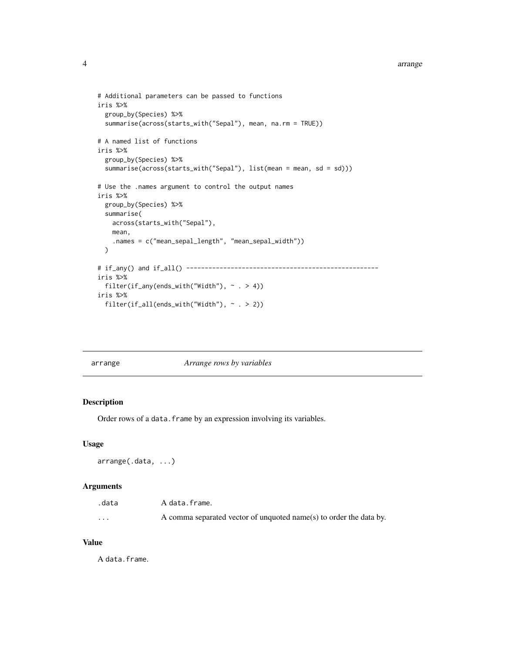```
# Additional parameters can be passed to functions
iris %>%
 group_by(Species) %>%
 summarise(across(starts_with("Sepal"), mean, na.rm = TRUE))
# A named list of functions
iris %>%
 group_by(Species) %>%
 summarise(across(starts_with("Sepal"), list(mean = mean, sd = sd)))
# Use the .names argument to control the output names
iris %>%
 group_by(Species) %>%
 summarise(
   across(starts_with("Sepal"),
   mean,
    .names = c("mean_sepal_length", "mean_sepal_width"))
 )
# if_any() and if_all() ----------------------------------------------------
iris %>%
 filter(if_any(ends_with("Width"), ~ . > 4))
iris %>%
 filter(if_all(ends_with("Width"), ~ . > 2))
```
<span id="page-3-1"></span>

arrange *Arrange rows by variables*

### Description

Order rows of a data. frame by an expression involving its variables.

#### Usage

```
arrange(.data, ...)
```
### Arguments

| .data    | A data.frame.                                                      |
|----------|--------------------------------------------------------------------|
| $\cdots$ | A comma separated vector of unquoted name(s) to order the data by. |

#### Value

A data.frame.

<span id="page-3-0"></span>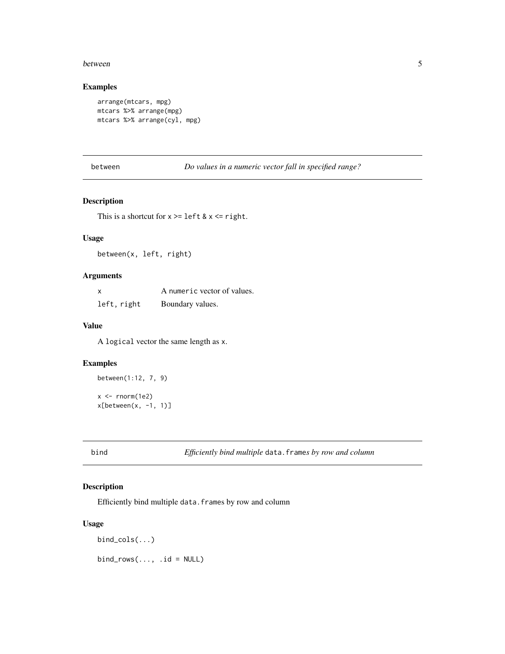#### <span id="page-4-0"></span>between 5

### Examples

```
arrange(mtcars, mpg)
mtcars %>% arrange(mpg)
mtcars %>% arrange(cyl, mpg)
```
between *Do values in a numeric vector fall in specified range?*

### Description

This is a shortcut for  $x \geq 1$ eft &  $x \leq 1$ right.

### Usage

between(x, left, right)

### Arguments

| X           | A numeric vector of values. |
|-------------|-----------------------------|
| left, right | Boundary values.            |

#### Value

A logical vector the same length as x.

### Examples

```
between(1:12, 7, 9)
x < - rnorm(1e2)
```
 $x[between(x, -1, 1)]$ 

bind *Efficiently bind multiple* data.frame*s by row and column*

### Description

Efficiently bind multiple data.frames by row and column

#### Usage

```
bind_cols(...)
bind_{rows} ..., .id = NULL)
```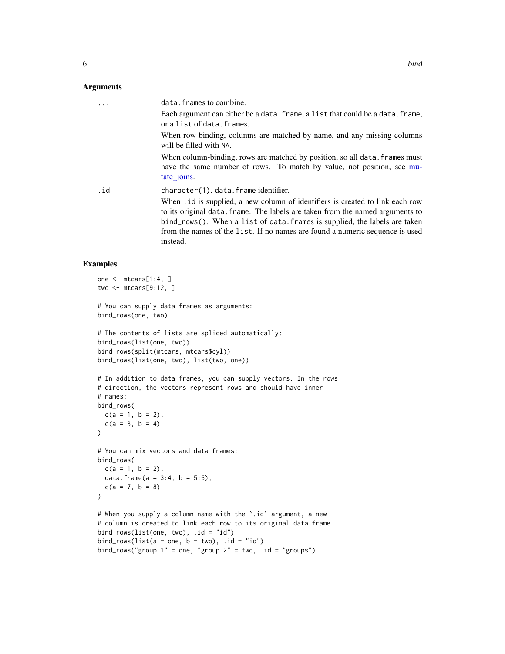#### <span id="page-5-0"></span>Arguments

|     | data. frames to combine.                                                                                                                                                                                                                                                                                                                  |
|-----|-------------------------------------------------------------------------------------------------------------------------------------------------------------------------------------------------------------------------------------------------------------------------------------------------------------------------------------------|
|     | Each argument can either be a data. frame, a list that could be a data. frame,<br>or a list of data. frames.                                                                                                                                                                                                                              |
|     | When row-binding, columns are matched by name, and any missing columns<br>will be filled with NA.                                                                                                                                                                                                                                         |
|     | When column-binding, rows are matched by position, so all data. frames must<br>have the same number of rows. To match by value, not position, see mu-<br>tate joins.                                                                                                                                                                      |
| .id | character(1). data. frame identifier.                                                                                                                                                                                                                                                                                                     |
|     | When . id is supplied, a new column of identifiers is created to link each row<br>to its original data. frame. The labels are taken from the named arguments to<br>bind_rows(). When a list of data. frames is supplied, the labels are taken<br>from the names of the list. If no names are found a numeric sequence is used<br>instead. |

```
one <- mtcars[1:4, ]
two <- mtcars[9:12, ]
# You can supply data frames as arguments:
bind_rows(one, two)
# The contents of lists are spliced automatically:
bind_rows(list(one, two))
bind_rows(split(mtcars, mtcars$cyl))
bind_rows(list(one, two), list(two, one))
# In addition to data frames, you can supply vectors. In the rows
# direction, the vectors represent rows and should have inner
# names:
bind_rows(
  c(a = 1, b = 2),
  c(a = 3, b = 4))
# You can mix vectors and data frames:
bind_rows(
  c(a = 1, b = 2),
  data.frame(a = 3:4, b = 5:6),
  c(a = 7, b = 8)\lambda# When you supply a column name with the `.id` argument, a new
# column is created to link each row to its original data frame
bind_rows(list(one, two), .id = "id")
bind_rows(list(a = one, b = two), .id = "id")
bind_rows("group 1" = one, "group 2" = two, .id = "groups")
```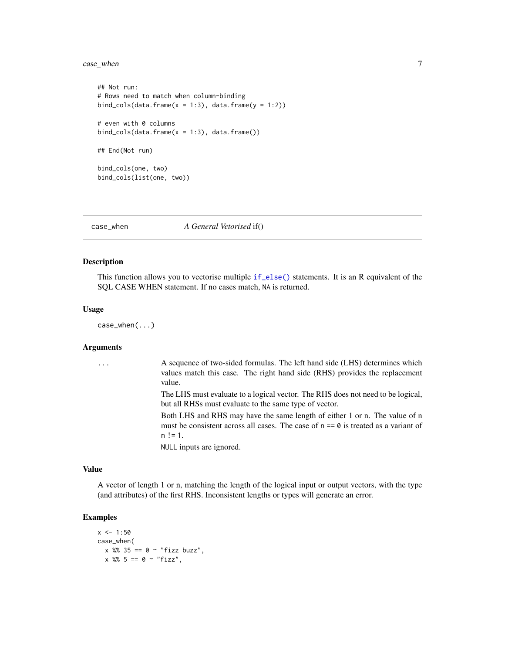### <span id="page-6-0"></span>case\_when 7

```
## Not run:
# Rows need to match when column-binding
bind_cols(data.frame(x = 1:3), data.frame(y = 1:2))
# even with 0 columns
bind_cols(data.frame(x = 1:3), data.frame())
## End(Not run)
bind_cols(one, two)
bind_cols(list(one, two))
```
<span id="page-6-1"></span>case\_when *A General Vetorised* if()

#### Description

This function allows you to vectorise multiple [if\\_else\(\)](#page-22-1) statements. It is an R equivalent of the SQL CASE WHEN statement. If no cases match, NA is returned.

#### Usage

case\_when(...)

### Arguments

| . | A sequence of two-sided formulas. The left hand side (LHS) determines which<br>values match this case. The right hand side (RHS) provides the replacement<br>value.              |
|---|----------------------------------------------------------------------------------------------------------------------------------------------------------------------------------|
|   | The LHS must evaluate to a logical vector. The RHS does not need to be logical,<br>but all RHSs must evaluate to the same type of vector.                                        |
|   | Both LHS and RHS may have the same length of either 1 or n. The value of n<br>must be consistent across all cases. The case of $n == 0$ is treated as a variant of<br>$n := 1$ . |
|   | NULL inputs are ignored.                                                                                                                                                         |

#### Value

A vector of length 1 or n, matching the length of the logical input or output vectors, with the type (and attributes) of the first RHS. Inconsistent lengths or types will generate an error.

```
x < -1:50case_when(
  x \, %\, 35 == 0 \sim "fixbuzz",x \, %\, 5 = 0 \, \sim \, "fizz",
```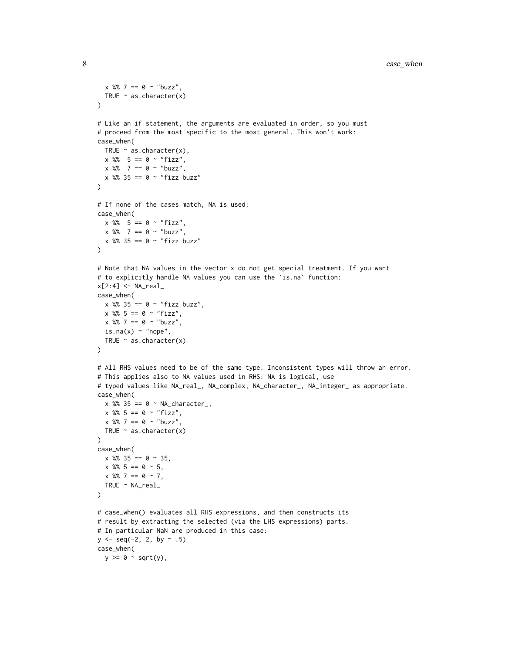```
x \, 8\, 7 = 0 \sim "buzz",
  TRUE \sim as. character(x)
)
# Like an if statement, the arguments are evaluated in order, so you must
# proceed from the most specific to the most general. This won't work:
case_when(
 TRUE \sim as.character(x),
 x \, 8\% = 5 == 0 \sim "fizz",x \, 8\% 7 == 0 ~ "buzz",
  x %% 35 == 0 ~ "fizz buzz"
\lambda# If none of the cases match, NA is used:
case_when(
  x \, %\, 5 = 0 \sim "fizz",x \, 8\% 7 == 0 ~ "buzz",
 x %% 35 == 0 ~ "fizz buzz"
)
# Note that NA values in the vector x do not get special treatment. If you want
# to explicitly handle NA values you can use the `is.na` function:
x[2:4] <- NA\_realcase_when(
  x %% 35 == 0 ~ "fizz buzz",
  x \frac{8}{3} = 0 \sim "fizz",x \, 8\, 7 = 0 \sim "buzz",
  is.na(x) \sim "nope",
  TRUE \sim as.character(x)
)
# All RHS values need to be of the same type. Inconsistent types will throw an error.
# This applies also to NA values used in RHS: NA is logical, use
# typed values like NA_real_, NA_complex, NA_character_, NA_integer_ as appropriate.
case_when(
  x %% 35 == 0 ~ NA_character_,
  x \, %\, 5 = 0 \sim "fizz",x \, 8\, 7 = 0 \sim "buzz",
  TRUE \sim as.character(x)
\lambdacase_when(
  x %% 35 == 0 \sim 35,
  x % 5 == 0 ~ 5,x % 7 == 0 ~ 7,TRUE ~ NA_real_
\lambda# case_when() evaluates all RHS expressions, and then constructs its
# result by extracting the selected (via the LHS expressions) parts.
# In particular NaN are produced in this case:
y \le - seq(-2, 2, by = .5)
case_when(
  y \ge 0 ~ sqrt(y),
```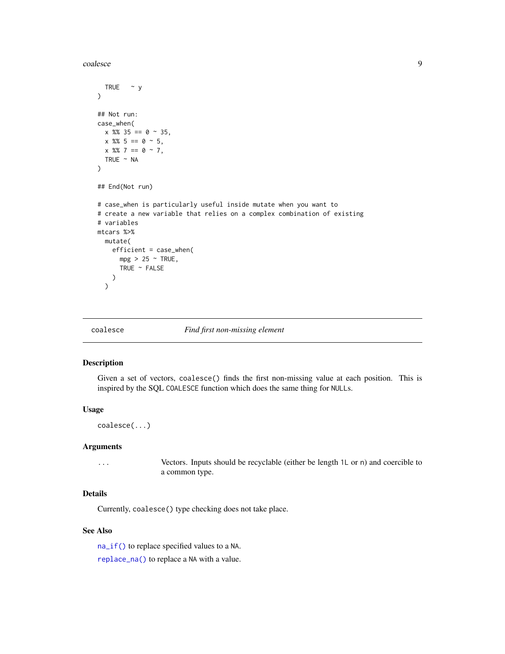<span id="page-8-0"></span>coalesce 99

```
TRUE \sim y)
## Not run:
case_when(
  x % 35 == 0 ~ 35,x \, 8\, 5 = 0 \sim 5,
  x % 7 == 0 ~ 7,TRUE ~ NA
\mathcal{L}## End(Not run)
# case_when is particularly useful inside mutate when you want to
# create a new variable that relies on a complex combination of existing
# variables
mtcars %>%
  mutate(
    efficient = case_when(
      mpg > 25 ~ TRUE,
      TRUE ~ FALSE
    \lambda)
```
<span id="page-8-1"></span>coalesce *Find first non-missing element*

### Description

Given a set of vectors, coalesce() finds the first non-missing value at each position. This is inspired by the SQL COALESCE function which does the same thing for NULLs.

#### Usage

```
coalesce(...)
```
#### Arguments

... Vectors. Inputs should be recyclable (either be length 1L or n) and coercible to a common type.

### Details

Currently, coalesce() type checking does not take place.

### See Also

[na\\_if\(\)](#page-28-1) to replace specified values to a NA. [replace\\_na\(\)](#page-39-1) to replace a NA with a value.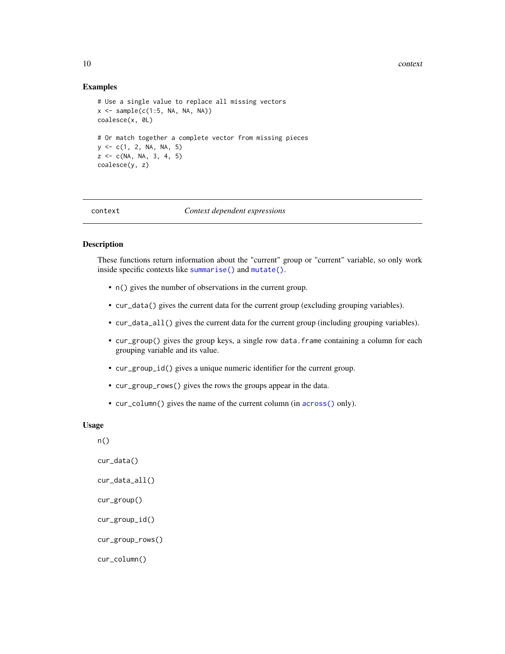#### <span id="page-9-0"></span>10 context

#### Examples

```
# Use a single value to replace all missing vectors
x \leftarrow sample(c(1:5, NA, NA))
coalesce(x, 0L)
# Or match together a complete vector from missing pieces
y \leq -c(1, 2, NA, NA, 5)z \leq c(NA, NA, 3, 4, 5)coalesce(y, z)
```
<span id="page-9-2"></span>

### context *Context dependent expressions*

#### <span id="page-9-1"></span>**Description**

These functions return information about the "current" group or "current" variable, so only work inside specific contexts like [summarise\(\)](#page-46-1) and [mutate\(\)](#page-24-1).

- n() gives the number of observations in the current group.
- cur\_data() gives the current data for the current group (excluding grouping variables).
- cur\_data\_all() gives the current data for the current group (including grouping variables).
- cur\_group() gives the group keys, a single row data.frame containing a column for each grouping variable and its value.
- cur\_group\_id() gives a unique numeric identifier for the current group.
- cur\_group\_rows() gives the rows the groups appear in the data.
- cur\_column() gives the name of the current column (in [across\(\)](#page-1-1) only).

#### Usage

n()

```
cur_data()
```

```
cur_data_all()
```

```
cur_group()
```

```
cur_group_id()
```

```
cur_group_rows()
```

```
cur_column()
```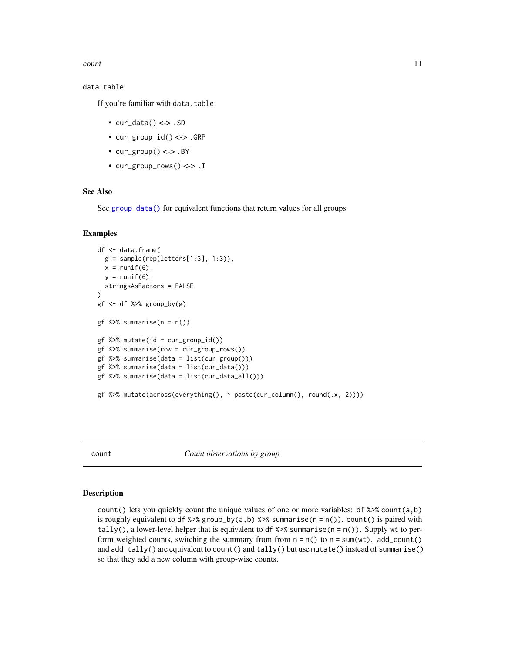<span id="page-10-0"></span>count 11

#### data.table

If you're familiar with data.table:

- $cur\_data() \leq > .SD$
- cur\_group\_id() <-> .GRP
- $cur\_group() \leq > .BY$
- cur\_group\_rows() <-> .I

#### See Also

See [group\\_data\(\)](#page-20-1) for equivalent functions that return values for all groups.

#### Examples

```
df <- data.frame(
  g = sample(rep(leftters[1:3], 1:3)),x = runif(6),
  y = runif(6),
  stringsAsFactors = FALSE
\lambdagf <- df %>% group_by(g)
gf %>% summarise(n = n())
gf %>% mutate(id = cur_group_id())
gf %>% summarise(row = cur_group_rows())
gf %>% summarise(data = list(cur_group()))
gf %>% summarise(data = list(cur_data()))
gf %>% summarise(data = list(cur_data_all()))
gf %>% mutate(across(everything(), ~ paste(cur_column(), round(.x, 2))))
```
count *Count observations by group*

#### **Description**

count() lets you quickly count the unique values of one or more variables:  $df \gg \mathcal{E}$  count(a,b) is roughly equivalent to df  $\frac{2}{8}$  group\_by(a,b)  $\frac{2}{8}$  summarise(n = n()). count() is paired with tally(), a lower-level helper that is equivalent to df  $\gg$  summarise(n = n()). Supply wt to perform weighted counts, switching the summary from from  $n = n()$  to  $n = sum(wt)$ . add\_count() and add\_tally() are equivalent to count() and tally() but use mutate() instead of summarise() so that they add a new column with group-wise counts.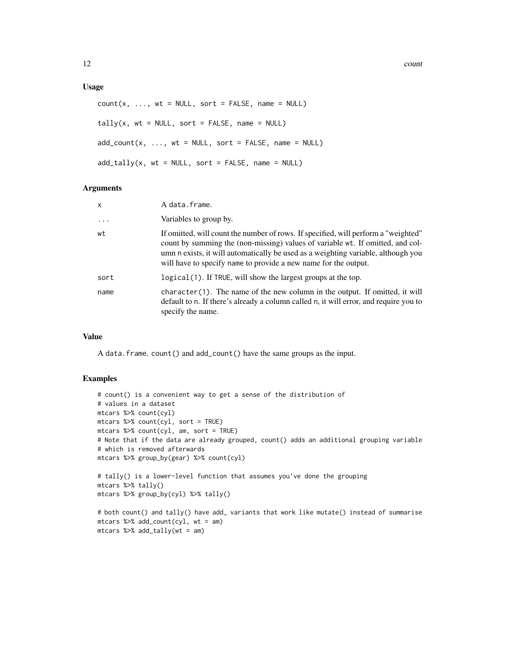12 count

#### Usage

```
count(x, ..., wt = NULL, sort = FALSE, name = NULL)tally(x, wt = NULL, sort = FALSE, name = NULL)add\_count(x, ..., wt = NULL, sort = FALSE, name = NULL)add\_tally(x, wt = NULL, sort = FALSE, name = NULL)
```
#### Arguments

| $\boldsymbol{\mathsf{x}}$ | A data.frame.                                                                                                                                                                                                                                                                                                                |
|---------------------------|------------------------------------------------------------------------------------------------------------------------------------------------------------------------------------------------------------------------------------------------------------------------------------------------------------------------------|
| $\ddotsc$                 | Variables to group by.                                                                                                                                                                                                                                                                                                       |
| wt                        | If omitted, will count the number of rows. If specified, will perform a "weighted"<br>count by summing the (non-missing) values of variable wt. If omitted, and col-<br>umn n exists, it will automatically be used as a weighting variable, although you<br>will have to specify name to provide a new name for the output. |
| sort                      | logical (1). If TRUE, will show the largest groups at the top.                                                                                                                                                                                                                                                               |
| name                      | $character(1)$ . The name of the new column in the output. If omitted, it will<br>default to n. If there's already a column called n, it will error, and require you to<br>specify the name.                                                                                                                                 |

### Value

A data.frame. count() and add\_count() have the same groups as the input.

```
# count() is a convenient way to get a sense of the distribution of
# values in a dataset
mtcars %>% count(cyl)
mtcars %>% count(cyl, sort = TRUE)
mtcars %>% count(cyl, am, sort = TRUE)
# Note that if the data are already grouped, count() adds an additional grouping variable
# which is removed afterwards
mtcars %>% group_by(gear) %>% count(cyl)
# tally() is a lower-level function that assumes you've done the grouping
mtcars %>% tally()
mtcars %>% group_by(cyl) %>% tally()
# both count() and tally() have add_ variants that work like mutate() instead of summarise
mtcars %>% add_count(cyl, wt = am)
```

```
mtcars %>% add_tally(wt = am)
```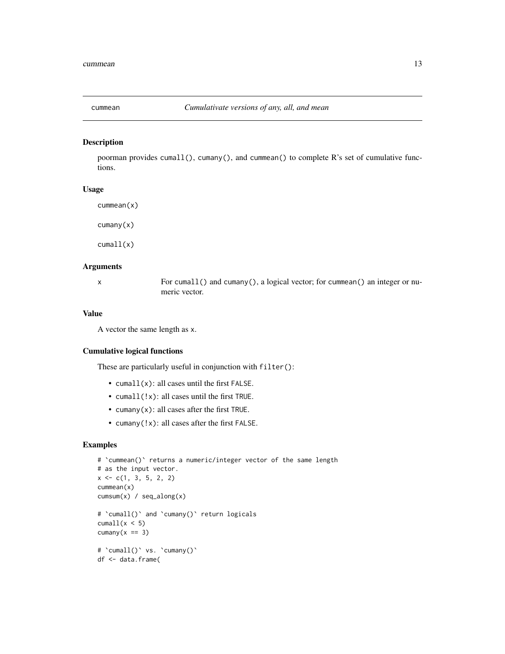<span id="page-12-0"></span>

#### Description

poorman provides cumall(), cumany(), and cummean() to complete R's set of cumulative functions.

#### Usage

cummean(x)

cumany(x)

cumall(x)

#### Arguments

x For cumall() and cumany(), a logical vector; for cummean() an integer or numeric vector.

#### Value

A vector the same length as x.

#### Cumulative logical functions

These are particularly useful in conjunction with filter():

- cumall(x): all cases until the first FALSE.
- cumall(!x): all cases until the first TRUE.
- cumany $(x)$ : all cases after the first TRUE.
- cumany(!x): all cases after the first FALSE.

```
# `cummean()` returns a numeric/integer vector of the same length
# as the input vector.
x \leftarrow c(1, 3, 5, 2, 2)cummean(x)
cumsum(x) / seq_along(x)
# 'cumall()' and 'cumany()' return logicals
cumall(x < 5)cumany(x == 3)# `cumall()` vs. `cumany()`
df <- data.frame(
```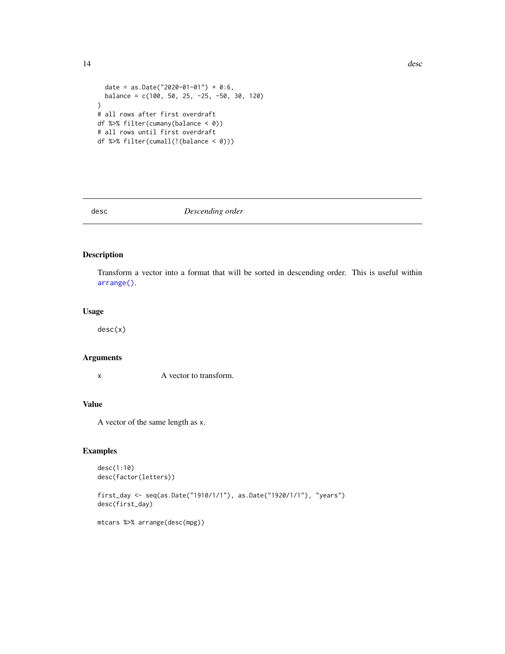```
14 desc
```

```
date = as.Date("2020-01-01") + 0:6,
  balance = c(100, 50, 25, -25, -50, 30, 120))
# all rows after first overdraft
df %>% filter(cumany(balance < 0))
# all rows until first overdraft
df %>% filter(cumall(!(balance < 0)))
```
#### desc *Descending order*

### Description

Transform a vector into a format that will be sorted in descending order. This is useful within [arrange\(\)](#page-3-1).

#### Usage

desc(x)

### Arguments

x A vector to transform.

### Value

A vector of the same length as x.

### Examples

```
desc(1:10)
desc(factor(letters))
```
first\_day <- seq(as.Date("1910/1/1"), as.Date("1920/1/1"), "years") desc(first\_day)

mtcars %>% arrange(desc(mpg))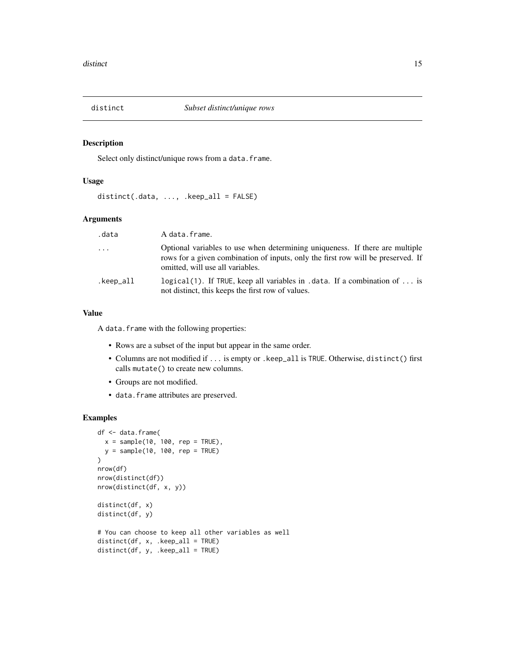<span id="page-14-0"></span>

#### Description

Select only distinct/unique rows from a data.frame.

#### Usage

```
distinct(.data, ..., .keep_all = FALSE)
```
### Arguments

| .data     | A data.frame.                                                                                                                                                                                        |
|-----------|------------------------------------------------------------------------------------------------------------------------------------------------------------------------------------------------------|
| $\ddots$  | Optional variables to use when determining uniqueness. If there are multiple<br>rows for a given combination of inputs, only the first row will be preserved. If<br>omitted, will use all variables. |
| .keep_all | logical(1). If TRUE, keep all variables in .data. If a combination of $\dots$ is<br>not distinct, this keeps the first row of values.                                                                |

### Value

A data.frame with the following properties:

- Rows are a subset of the input but appear in the same order.
- Columns are not modified if ... is empty or .keep\_all is TRUE. Otherwise, distinct() first calls mutate() to create new columns.
- Groups are not modified.
- data.frame attributes are preserved.

```
df <- data.frame(
  x = sample(10, 100, rep = TRUE),y = sample(10, 100, rep = TRUE))
nrow(df)
nrow(distinct(df))
nrow(distinct(df, x, y))
distinct(df, x)
distinct(df, y)
# You can choose to keep all other variables as well
distinct(df, x, .keep_all = TRUE)
distinct(df, y, .keep_all = TRUE)
```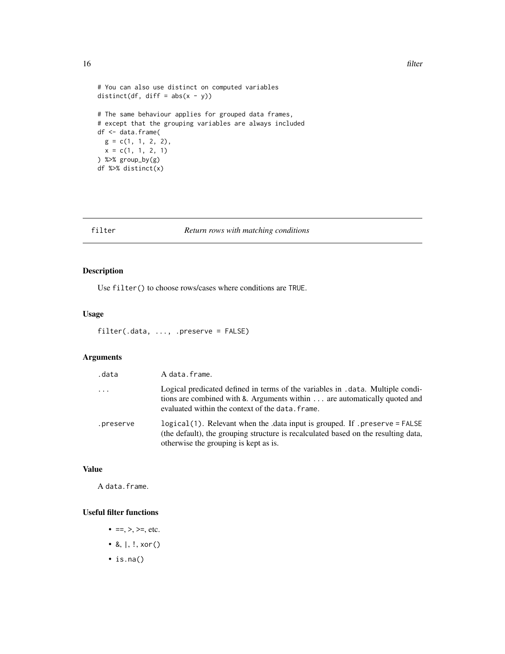```
# You can also use distinct on computed variables
distinct(df, diff = abs(x - y))
# The same behaviour applies for grouped data frames,
# except that the grouping variables are always included
```

```
g = c(1, 1, 2, 2),x = c(1, 1, 2, 1)) %>% group_by(g)
df %>% distinct(x)
```
df <- data.frame(

### filter *Return rows with matching conditions*

### Description

Use filter() to choose rows/cases where conditions are TRUE.

#### Usage

```
filter(.data, ..., .preserve = FALSE)
```
### Arguments

| .data     | A data.frame.                                                                                                                                                                                                   |
|-----------|-----------------------------------------------------------------------------------------------------------------------------------------------------------------------------------------------------------------|
| $\cdots$  | Logical predicated defined in terms of the variables in . data. Multiple condi-<br>tions are combined with &. Arguments within are automatically quoted and<br>evaluated within the context of the data. frame. |
| .preserve | logical(1). Relevant when the .data input is grouped. If .preserve = FALSE<br>(the default), the grouping structure is recalculated based on the resulting data,<br>otherwise the grouping is kept as is.       |

### Value

A data.frame.

#### Useful filter functions

- ==, >, >=, etc.
- &,  $|, !, x$ or $()$
- is.na()

<span id="page-15-0"></span>16 filter and the state of the state of the state of the state of the state of the state of the state of the state of the state of the state of the state of the state of the state of the state of the state of the state of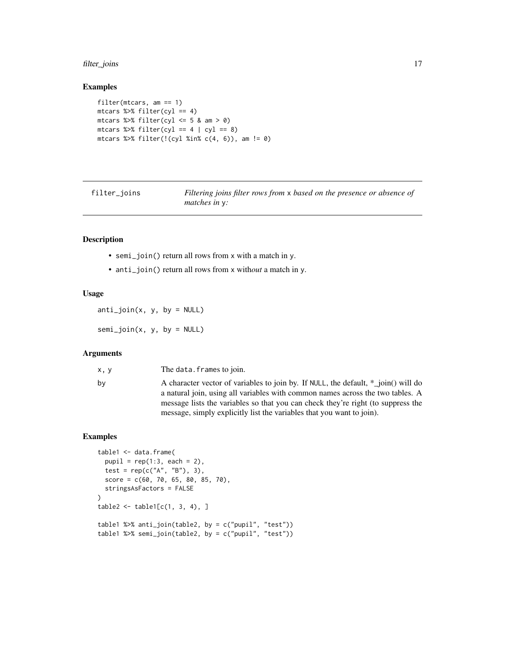### <span id="page-16-0"></span>filter\_joins 17

#### Examples

```
filter(mtcars, am == 1)
mtcars %>% filter(cyl == 4)
mtcars %>% filter(cyl \leq 5 & am > 0)
mtcars %>% filter(cyl == 4 | cyl == 8)
mtcars %>% filter(!(cyl %in% c(4, 6)), am != 0)
```

| filter_joins |  |
|--------------|--|

filter\_joins *Filtering joins filter rows from* x *based on the presence or absence of matches in* y*:*

#### Description

- semi\_join() return all rows from x with a match in y.
- anti\_join() return all rows from x with*out* a match in y.

#### Usage

 $anti\_join(x, y, by = NULL)$ 

 $semi\_join(x, y, by = NULL)$ 

### Arguments

x, y The data.frames to join. by A character vector of variables to join by. If NULL, the default,  $*_j$ oin() will do a natural join, using all variables with common names across the two tables. A message lists the variables so that you can check they're right (to suppress the message, simply explicitly list the variables that you want to join).

```
table1 <- data.frame(
  pupil = rep(1:3, each = 2),test = rep(c("A", "B"), 3),score = c(60, 70, 65, 80, 85, 70),
  stringsAsFactors = FALSE
)
table2 < - table1[c(1, 3, 4), ]table1 %>% anti_join(table2, by = c("pupil", "test"))
table1 %>% semi_join(table2, by = c("pupil", "test"))
```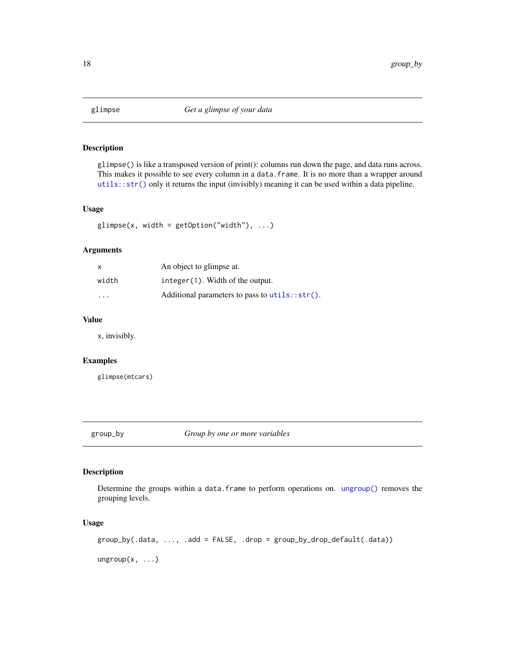<span id="page-17-0"></span>

#### Description

glimpse() is like a transposed version of print(): columns run down the page, and data runs across. This makes it possible to see every column in a data. frame. It is no more than a wrapper around [utils::str\(\)](#page-0-0) only it returns the input (invisibly) meaning it can be used within a data pipeline.

### Usage

 $glimpse(x, width = getOption("width"), ...)$ 

### Arguments

| X     | An object to glimpse at.                          |
|-------|---------------------------------------------------|
| width | $integer(1)$ . Width of the output.               |
| .     | Additional parameters to pass to $utils::str()$ . |

### Value

x, invisibly.

### Examples

glimpse(mtcars)

<span id="page-17-2"></span>group\_by *Group by one or more variables*

### <span id="page-17-1"></span>**Description**

Determine the groups within a data.frame to perform operations on. [ungroup\(\)](#page-17-1) removes the grouping levels.

#### Usage

group\_by(.data, ..., .add = FALSE, .drop = group\_by\_drop\_default(.data))

 $ungroup(x, ...)$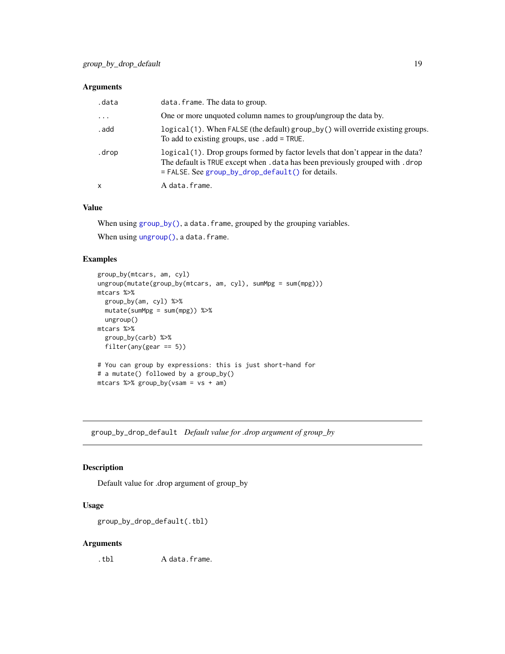### <span id="page-18-0"></span>Arguments

| .data     | data. frame. The data to group.                                                                                                                                                                                         |
|-----------|-------------------------------------------------------------------------------------------------------------------------------------------------------------------------------------------------------------------------|
| $\ddotsc$ | One or more unquoted column names to group/ungroup the data by.                                                                                                                                                         |
| . add     | logical (1). When FALSE (the default) group_by() will override existing groups.<br>To add to existing groups, use $.add = TRUE$ .                                                                                       |
| .drop     | logical(1). Drop groups formed by factor levels that don't appear in the data?<br>The default is TRUE except when . data has been previously grouped with . drop<br>$=$ FALSE. See group_by_drop_default() for details. |
| X         | A data.frame.                                                                                                                                                                                                           |

### Value

When using [group\\_by\(\)](#page-17-2), a data.frame, grouped by the grouping variables.

When using [ungroup\(\)](#page-17-1), a data.frame.

### Examples

```
group_by(mtcars, am, cyl)
ungroup(mutate(group_by(mtcars, am, cyl), sumMpg = sum(mpg)))
mtcars %>%
  group_by(am, cyl) %>%
 mutate(sumMpg = sum(mpg)) %>%
  ungroup()
mtcars %>%
  group_by(carb) %>%
  filter(any(gear == 5))
# You can group by expressions: this is just short-hand for
# a mutate() followed by a group_by()
mtcars %>% group_by(vsam = vs + am)
```
<span id="page-18-1"></span>group\_by\_drop\_default *Default value for .drop argument of group\_by*

### Description

Default value for .drop argument of group\_by

### Usage

group\_by\_drop\_default(.tbl)

### Arguments

.tbl A data.frame.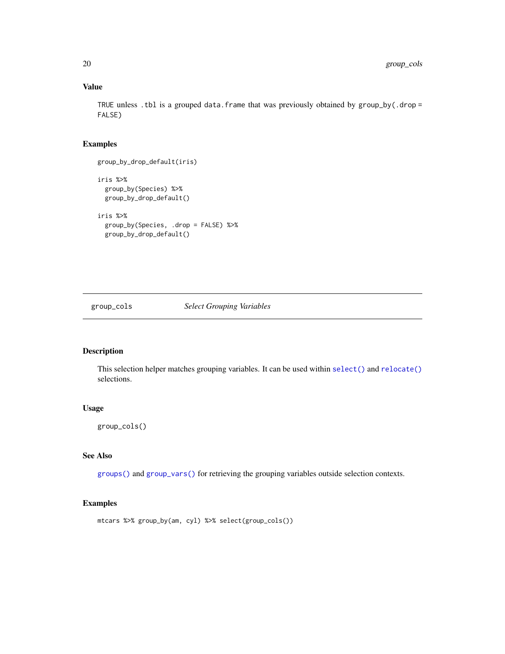### Value

TRUE unless .tbl is a grouped data.frame that was previously obtained by  $group_by$  .drop = FALSE)

#### Examples

group\_by\_drop\_default(iris) iris %>% group\_by(Species) %>% group\_by\_drop\_default() iris %>% group\_by(Species, .drop = FALSE) %>%

group\_by\_drop\_default()

#### <span id="page-19-1"></span>group\_cols *Select Grouping Variables*

### Description

This selection helper matches grouping variables. It can be used within [select\(\)](#page-41-1) and [relocate\(\)](#page-36-1) selections.

### Usage

```
group_cols()
```
### See Also

[groups\(\)](#page-20-1) and [group\\_vars\(\)](#page-20-1) for retrieving the grouping variables outside selection contexts.

```
mtcars %>% group_by(am, cyl) %>% select(group_cols())
```
<span id="page-19-0"></span>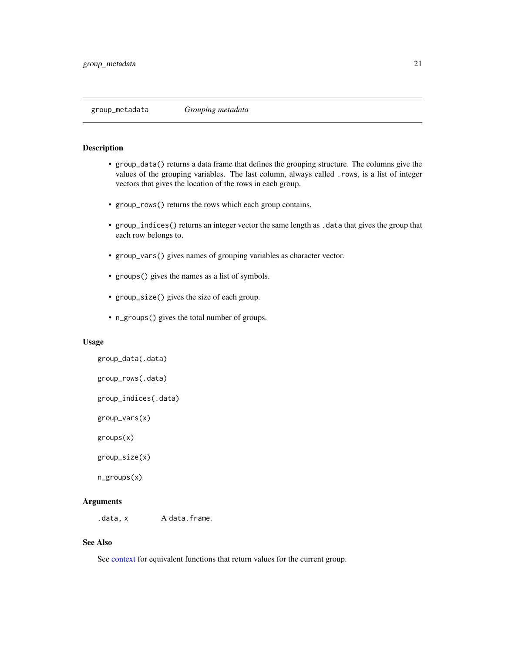#### <span id="page-20-1"></span><span id="page-20-0"></span>Description

- group\_data() returns a data frame that defines the grouping structure. The columns give the values of the grouping variables. The last column, always called .rows, is a list of integer vectors that gives the location of the rows in each group.
- group\_rows() returns the rows which each group contains.
- group\_indices() returns an integer vector the same length as .data that gives the group that each row belongs to.
- group\_vars() gives names of grouping variables as character vector.
- groups() gives the names as a list of symbols.
- group\_size() gives the size of each group.
- n\_groups() gives the total number of groups.

#### Usage

```
group_data(.data)
group_rows(.data)
group_indices(.data)
group_vars(x)
groups(x)
group_size(x)
```
## n\_groups(x)

#### **Arguments**

.data, x A data.frame.

#### See Also

See [context](#page-9-2) for equivalent functions that return values for the current group.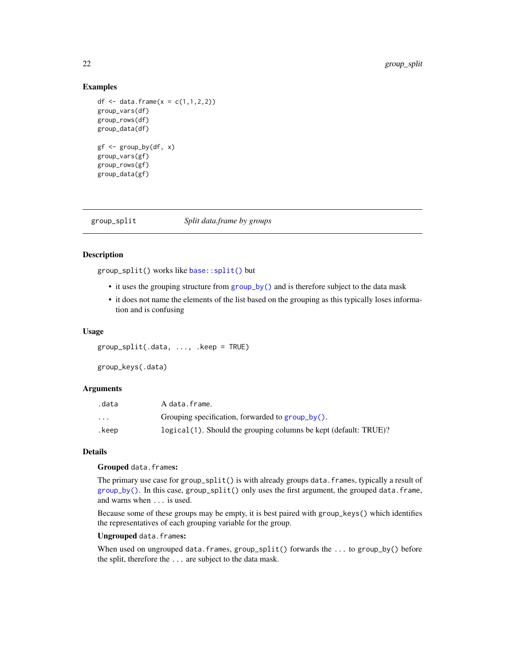#### <span id="page-21-0"></span>Examples

```
df <- data.frame(x = c(1, 1, 2, 2))
group_vars(df)
group_rows(df)
group_data(df)
gf \leftarrow group_by(df, x)group_vars(gf)
group_rows(gf)
group_data(gf)
```
group\_split *Split data.frame by groups*

### Description

group\_split() works like [base::split\(\)](#page-0-0) but

- it uses the grouping structure from [group\\_by\(\)](#page-17-2) and is therefore subject to the data mask
- it does not name the elements of the list based on the grouping as this typically loses information and is confusing

#### Usage

group\_split(.data, ..., .keep = TRUE)

group\_keys(.data)

#### Arguments

| .data                   | A data.frame.                                                    |
|-------------------------|------------------------------------------------------------------|
| $\cdot$ $\cdot$ $\cdot$ | Grouping specification, forwarded to $group_by()$ .              |
| .keep                   | logical(1). Should the grouping columns be kept (default: TRUE)? |

### **Details**

#### Grouped data.frames:

The primary use case for group\_split() is with already groups data.frames, typically a result of [group\\_by\(\)](#page-17-2). In this case, group\_split() only uses the first argument, the grouped data.frame, and warns when ... is used.

Because some of these groups may be empty, it is best paired with group\_keys() which identifies the representatives of each grouping variable for the group.

#### Ungrouped data.frames:

When used on ungrouped data.frames, group\_split() forwards the ... to group\_by() before the split, therefore the ... are subject to the data mask.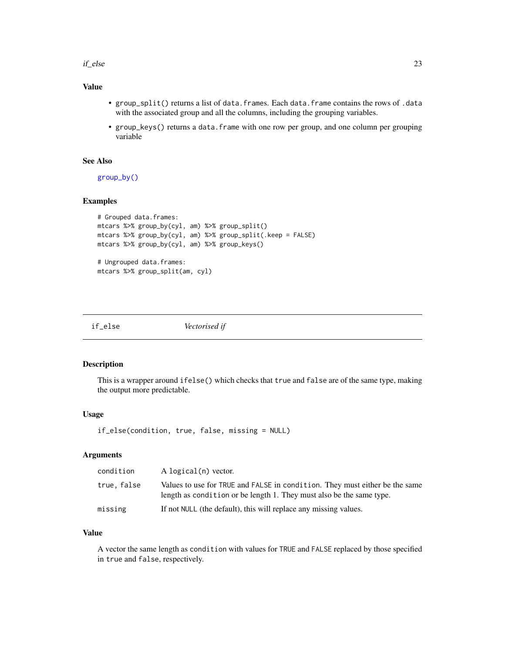#### <span id="page-22-0"></span> $if\_else$  23

### Value

- group\_split() returns a list of data.frames. Each data.frame contains the rows of .data with the associated group and all the columns, including the grouping variables.
- group\_keys() returns a data.frame with one row per group, and one column per grouping variable

### See Also

[group\\_by\(\)](#page-17-2)

### Examples

```
# Grouped data.frames:
mtcars %>% group_by(cyl, am) %>% group_split()
mtcars %>% group_by(cyl, am) %>% group_split(.keep = FALSE)
mtcars %>% group_by(cyl, am) %>% group_keys()
# Ungrouped data.frames:
mtcars %>% group_split(am, cyl)
```
<span id="page-22-1"></span>if\_else *Vectorised if*

#### Description

This is a wrapper around ifelse() which checks that true and false are of the same type, making the output more predictable.

#### Usage

if\_else(condition, true, false, missing = NULL)

#### Arguments

| condition   | A logical(n) vector.                                                                                                                                |
|-------------|-----------------------------------------------------------------------------------------------------------------------------------------------------|
| true, false | Values to use for TRUE and FALSE in condition. They must either be the same<br>length as condition or be length 1. They must also be the same type. |
| missing     | If not NULL (the default), this will replace any missing values.                                                                                    |

#### Value

A vector the same length as condition with values for TRUE and FALSE replaced by those specified in true and false, respectively.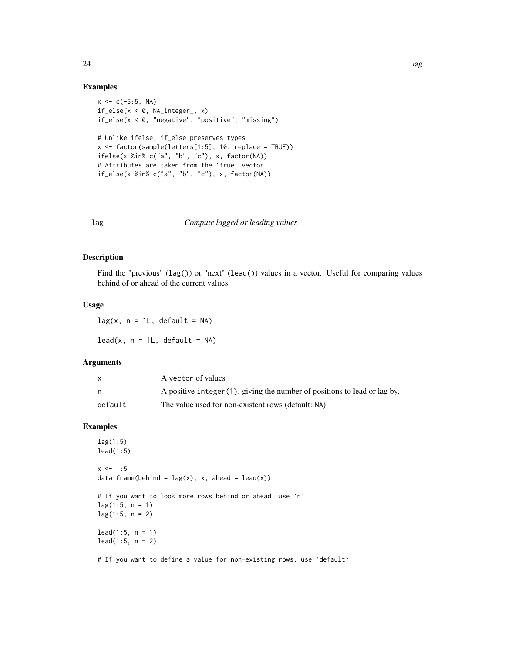#### Examples

```
x \leq -c(-5:5, NA)if\_else(x < 0, NA\_integer_, x)if_else(x < 0, "negative", "positive", "missing")
# Unlike ifelse, if_else preserves types
x \le factor(sample(letters[1:5], 10, replace = TRUE))
ifelse(x %in% c("a", "b", "c"), x, factor(NA))
# Attributes are taken from the `true` vector
if_else(x %in% c("a", "b", "c"), x, factor(NA))
```
#### <span id="page-23-2"></span>lag *Compute lagged or leading values*

#### <span id="page-23-1"></span>Description

Find the "previous" (lag()) or "next" (lead()) values in a vector. Useful for comparing values behind of or ahead of the current values.

### Usage

 $lag(x, n = 1L, default = NA)$ 

 $lead(x, n = 1L, default = NA)$ 

### Arguments

|         | A vector of values                                                        |
|---------|---------------------------------------------------------------------------|
| n       | A positive integer (1), giving the number of positions to lead or lag by. |
| default | The value used for non-existent rows (default: NA).                       |

### Examples

```
lag(1:5)
lead(1:5)x \le -1:5data.frame(behind = \text{lag}(x), x, ahead = \text{lead}(x))
# If you want to look more rows behind or ahead, use `n`
lag(1:5, n = 1)lag(1:5, n = 2)lead(1:5, n = 1)lead(1:5, n = 2)
```
# If you want to define a value for non-existing rows, use 'default'

<span id="page-23-0"></span>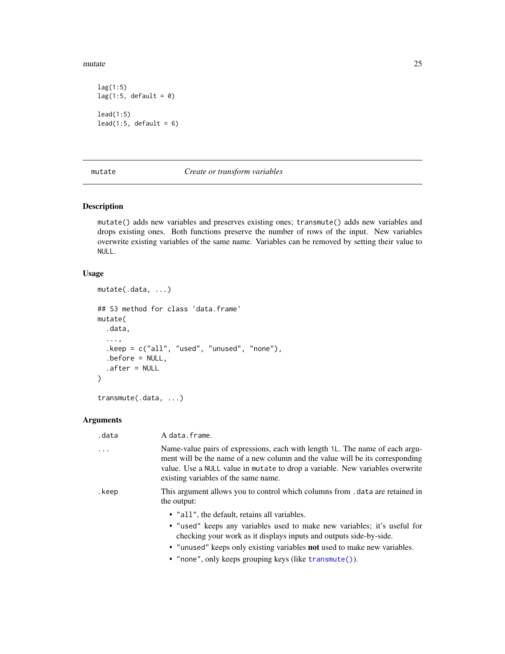<span id="page-24-0"></span>mutate 25

```
lag(1:5)
lag(1:5, default = 0)lead(1:5)lead(1:5, default = 6)
```
<span id="page-24-1"></span>

#### mutate *Create or transform variables*

#### <span id="page-24-2"></span>Description

mutate() adds new variables and preserves existing ones; transmute() adds new variables and drops existing ones. Both functions preserve the number of rows of the input. New variables overwrite existing variables of the same name. Variables can be removed by setting their value to NULL.

### Usage

```
mutate(.data, ...)
## S3 method for class 'data.frame'
mutate(
  .data,
  ...,
  .keep = c("all", "used", "unused", "none"),
  .before = NULL,
  .after = NULL
\mathcal{L}
```
transmute(.data, ...)

#### Arguments

| .data    | A data.frame.                                                                                                                                                                                                                                                                          |
|----------|----------------------------------------------------------------------------------------------------------------------------------------------------------------------------------------------------------------------------------------------------------------------------------------|
| $\cdots$ | Name-value pairs of expressions, each with length 1L. The name of each argu-<br>ment will be the name of a new column and the value will be its corresponding<br>value. Use a NULL value in mutate to drop a variable. New variables overwrite<br>existing variables of the same name. |
| .keep    | This argument allows you to control which columns from . data are retained in<br>the output:                                                                                                                                                                                           |
|          | • "all", the default, retains all variables.                                                                                                                                                                                                                                           |
|          | • "used" keeps any variables used to make new variables; it's useful for<br>checking your work as it displays inputs and outputs side-by-side.                                                                                                                                         |
|          | • "unused" keeps only existing variables <b>not</b> used to make new variables.                                                                                                                                                                                                        |
|          | • "none", only keeps grouping keys (like transmute()).                                                                                                                                                                                                                                 |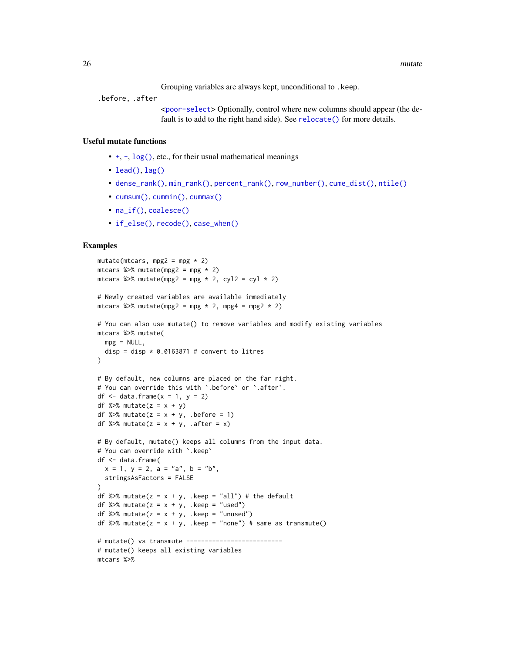Grouping variables are always kept, unconditional to .keep.

<span id="page-25-0"></span>.before, .after

<[poor-select](#page-43-1)> Optionally, control where new columns should appear (the default is to add to the right hand side). See [relocate\(\)](#page-36-1) for more details.

#### Useful mutate functions

- [+](#page-0-0), [-](#page-0-0), [log\(\)](#page-0-0), etc., for their usual mathematical meanings
- $lead()$ ,  $lag()$
- [dense\\_rank\(\)](#page-49-1), [min\\_rank\(\)](#page-49-1), [percent\\_rank\(\)](#page-49-1), [row\\_number\(\)](#page-49-1), [cume\\_dist\(\)](#page-49-1), [ntile\(\)](#page-49-1)
- [cumsum\(\)](#page-0-0), [cummin\(\)](#page-0-0), [cummax\(\)](#page-0-0)
- [na\\_if\(\)](#page-28-1), [coalesce\(\)](#page-8-1)
- [if\\_else\(\)](#page-22-1), [recode\(\)](#page-34-1), [case\\_when\(\)](#page-6-1)

```
mutate(mtcars, mpg2 = mpg * 2)
mtcars %>% mutate(mpg2 = mpg * 2)
mtcars %>% mutate(mpg2 = mpg * 2, cyl2 = cyl * 2)
# Newly created variables are available immediately
mtcars %>% mutate(mpg2 = mpg * 2, mpg4 = mpg2 * 2)
# You can also use mutate() to remove variables and modify existing variables
mtcars %>% mutate(
  mpg = NULL,
 disp = disp * 0.0163871 # convert to litres
\lambda# By default, new columns are placed on the far right.
# You can override this with `.before` or `.after`.
df \le data.frame(x = 1, y = 2)
df %>% mutate(z = x + y)
df %>% mutate(z = x + y, .before = 1)
df %>% mutate(z = x + y, .after = x)
# By default, mutate() keeps all columns from the input data.
# You can override with `.keep`
df <- data.frame(
  x = 1, y = 2, a = "a", b = "b",stringsAsFactors = FALSE
\lambdadf %>% mutate(z = x + y, .keep = "all") # the default
df %>% mutate(z = x + y, .keep = "used")
df %>% mutate(z = x + y, .keep = "unused")
df %>% mutate(z = x + y, .keep = "none") # same as transmute()
# mutate() vs transmute --------------------------
# mutate() keeps all existing variables
mtcars %>%
```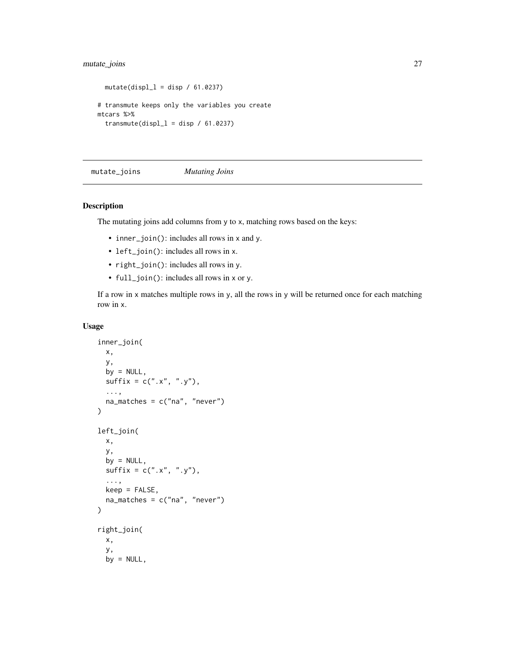### <span id="page-26-0"></span>mutate\_joins 27

```
mutate(displ_1 = disp / 61.0237)# transmute keeps only the variables you create
mtcars %>%
  transmute(displ_l = disp / 61.0237)
```
<span id="page-26-1"></span>mutate\_joins *Mutating Joins*

#### Description

The mutating joins add columns from y to x, matching rows based on the keys:

- inner\_join(): includes all rows in x and y.
- left\_join(): includes all rows in x.
- right\_join(): includes all rows in y.
- full\_join(): includes all rows in x or y.

If a row in x matches multiple rows in y, all the rows in y will be returned once for each matching row in x.

#### Usage

```
inner_join(
 x,
 y,
 by = NULL,
  sufficient = c("x", "y"),...,
  na\_matches = c("na", "never")\mathcal{L}left_join(
 x,
  y,
 by = NULL,
  sufficient = c("x", "y"),...,
 keep = FALSE,na_matches = c("na", "never")
\mathcal{L}right_join(
 x,
 y,
 by = NULL,
```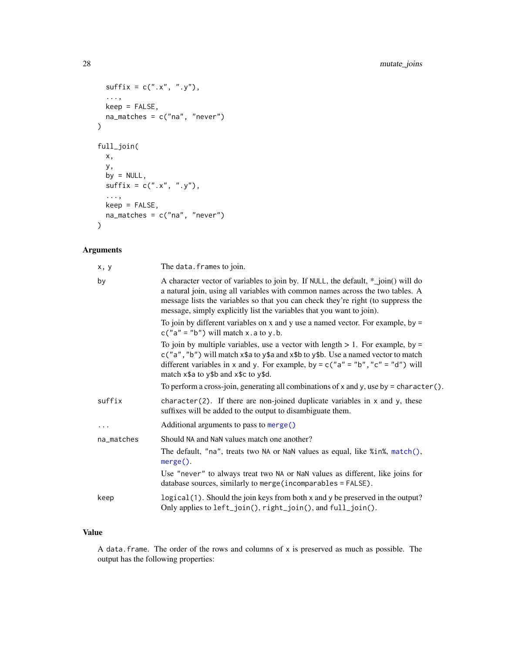```
sufficient = c("x", "y"),
  ...,
  keep = FALSE,
  na_matches = c("na", "never")
\mathcal{L}full_join(
  x,
  y,
  by = NULL,
 sufficient(x = c("x", "y"),...,
  keep = FALSE,na_matches = c("na", "never")
\mathcal{L}
```
### Arguments

| x, y       | The data. frames to join.                                                                                                                                                                                                                                                                                                         |  |
|------------|-----------------------------------------------------------------------------------------------------------------------------------------------------------------------------------------------------------------------------------------------------------------------------------------------------------------------------------|--|
| by         | A character vector of variables to join by. If NULL, the default, *_join() will do<br>a natural join, using all variables with common names across the two tables. A<br>message lists the variables so that you can check they're right (to suppress the<br>message, simply explicitly list the variables that you want to join). |  |
|            | To join by different variables on x and y use a named vector. For example, by $=$<br>$c("a" = "b")$ will match x.a to y.b.                                                                                                                                                                                                        |  |
|            | To join by multiple variables, use a vector with length $> 1$ . For example, by =<br>$c("a", "b")$ will match $x$ \$a to $y$ \$a and $x$ \$b to $y$ \$b. Use a named vector to match<br>different variables in x and y. For example, by = $c("a" = "b", "c" = "d")$ will<br>match x\$a to y\$b and x\$c to y\$d.                  |  |
|            | To perform a cross-join, generating all combinations of x and y, use by = character().                                                                                                                                                                                                                                            |  |
| suffix     | $character(2)$ . If there are non-joined duplicate variables in x and y, these<br>suffixes will be added to the output to disambiguate them.                                                                                                                                                                                      |  |
| $\cdots$   | Additional arguments to pass to merge()                                                                                                                                                                                                                                                                                           |  |
| na_matches | Should NA and NaN values match one another?                                                                                                                                                                                                                                                                                       |  |
|            | The default, "na", treats two NA or NaN values as equal, like %in%, match(),<br>$merge()$ .                                                                                                                                                                                                                                       |  |
|            | Use "never" to always treat two NA or NaN values as different, like joins for<br>database sources, similarly to merge (incomparables = FALSE).                                                                                                                                                                                    |  |
| keep       | logical (1). Should the join keys from both x and y be preserved in the output?<br>Only applies to left_join(), right_join(), and full_join().                                                                                                                                                                                    |  |

### Value

A data.frame. The order of the rows and columns of x is preserved as much as possible. The output has the following properties:

<span id="page-27-0"></span>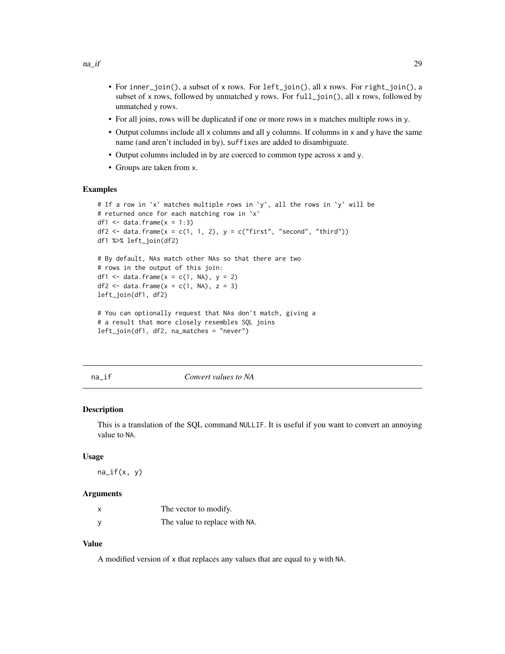- <span id="page-28-0"></span>• For inner\_join(), a subset of x rows. For left\_join(), all x rows. For right\_join(), a subset of x rows, followed by unmatched y rows. For full\_join(), all x rows, followed by unmatched y rows.
- For all joins, rows will be duplicated if one or more rows in x matches multiple rows in y.
- Output columns include all x columns and all y columns. If columns in x and y have the same name (and aren't included in by), suffixes are added to disambiguate.
- Output columns included in by are coerced to common type across x and y.
- Groups are taken from x.

#### Examples

```
# If a row in `x` matches multiple rows in `y`, all the rows in `y` will be
# returned once for each matching row in `x`
df1 \leq data.frame(x = 1:3)
df2 <- data.frame(x = c(1, 1, 2), y = c("first", "second", "third"))df1 %>% left_join(df2)
# By default, NAs match other NAs so that there are two
# rows in the output of this join:
df1 <- data.frame(x = c(1, NA), y = 2)df2 \leftarrow data.frame(x = c(1, NA), z = 3)
left_join(df1, df2)
# You can optionally request that NAs don't match, giving a
# a result that more closely resembles SQL joins
left_join(df1, df2, na_matches = "never")
```
<span id="page-28-1"></span>

#### na\_if *Convert values to NA*

#### Description

This is a translation of the SQL command NULLIF. It is useful if you want to convert an annoying value to NA.

#### Usage

 $na_i f(x, y)$ 

#### **Arguments**

| x            | The vector to modify.         |
|--------------|-------------------------------|
| <sub>V</sub> | The value to replace with NA. |

#### Value

A modified version of x that replaces any values that are equal to y with NA.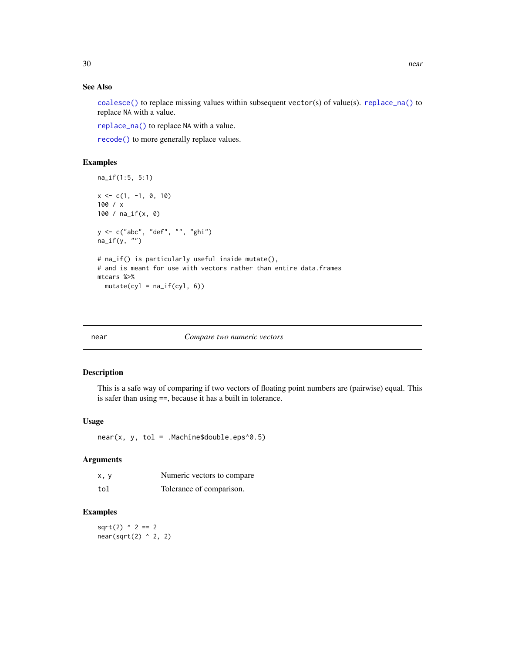### <span id="page-29-0"></span>See Also

[coalesce\(\)](#page-8-1) to replace missing values within subsequent vector(s) of value(s). [replace\\_na\(\)](#page-39-1) to replace NA with a value.

[replace\\_na\(\)](#page-39-1) to replace NA with a value.

[recode\(\)](#page-34-1) to more generally replace values.

### Examples

```
na_if(1:5, 5:1)
x \leq -c(1, -1, 0, 10)100 / x
100 / na_if(x, 0)
y <- c("abc", "def", "", "ghi")
na\_if(y, '''')# na_if() is particularly useful inside mutate(),
# and is meant for use with vectors rather than entire data.frames
mtcars %>%
  mutate(cyl = na_i f(cyl, 6))
```
#### near *Compare two numeric vectors*

### Description

This is a safe way of comparing if two vectors of floating point numbers are (pairwise) equal. This is safer than using ==, because it has a built in tolerance.

#### Usage

 $near(x, y, tol = .Machine$double.eps^0.5)$ 

#### Arguments

| x, y | Numeric vectors to compare |
|------|----------------------------|
| tol  | Tolerance of comparison.   |

#### Examples

 $sqrt(2)$  ^ 2 == 2 near(sqrt(2) ^ 2, 2)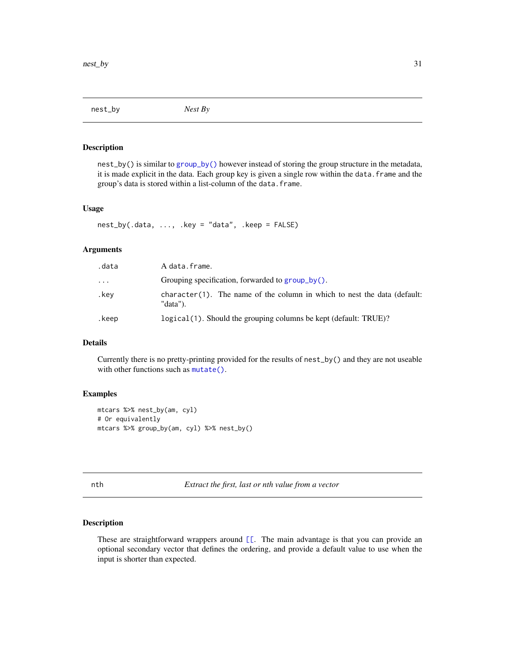<span id="page-30-0"></span>nest\_by *Nest By*

#### Description

nest\_by() is similar to [group\\_by\(\)](#page-17-2) however instead of storing the group structure in the metadata, it is made explicit in the data. Each group key is given a single row within the data.frame and the group's data is stored within a list-column of the data.frame.

#### Usage

 $nest_by(.data, ..., .key = "data", .keep = FALSE)$ 

### Arguments

| data.    | A data.frame.                                                                        |
|----------|--------------------------------------------------------------------------------------|
| $\cdots$ | Grouping specification, forwarded to group_by().                                     |
| .kev     | character(1). The name of the column in which to nest the data (default:<br>"data"). |
| .keep    | logical (1). Should the grouping columns be kept (default: TRUE)?                    |

### Details

Currently there is no pretty-printing provided for the results of nest\_by() and they are not useable with other functions such as [mutate\(\)](#page-24-1).

### Examples

```
mtcars %>% nest_by(am, cyl)
# Or equivalently
mtcars %>% group_by(am, cyl) %>% nest_by()
```
nth *Extract the first, last or nth value from a vector*

#### Description

These are straightforward wrappers around  $[$ [. The main advantage is that you can provide an optional secondary vector that defines the ordering, and provide a default value to use when the input is shorter than expected.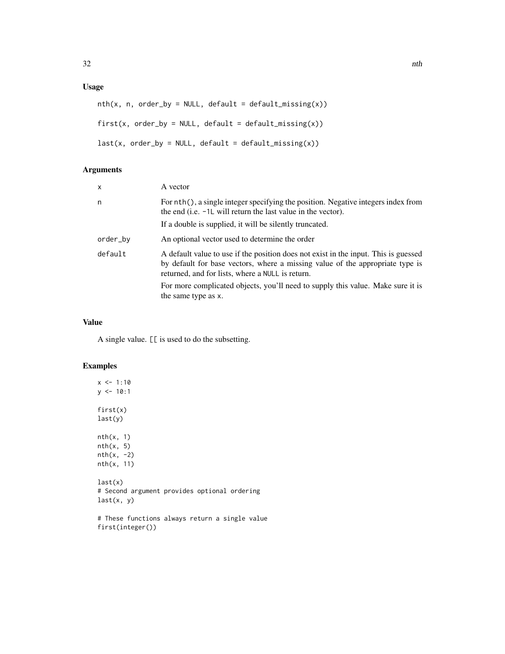### Usage

```
nth(x, n, order_by = NULL, default = default\_missing(x))first(x, order_by = NULL, default = default\_missing(x))last(x, order_by = NULL, default = default\_missing(x))
```
### Arguments

| X        | A vector                                                                                                                                                                                                                                                                                                                           |
|----------|------------------------------------------------------------------------------------------------------------------------------------------------------------------------------------------------------------------------------------------------------------------------------------------------------------------------------------|
| n        | For nth(), a single integer specifying the position. Negative integers index from<br>the end (i.e. $-1L$ will return the last value in the vector).<br>If a double is supplied, it will be silently truncated.                                                                                                                     |
| order_by | An optional vector used to determine the order                                                                                                                                                                                                                                                                                     |
| default  | A default value to use if the position does not exist in the input. This is guessed<br>by default for base vectors, where a missing value of the appropriate type is<br>returned, and for lists, where a NULL is return.<br>For more complicated objects, you'll need to supply this value. Make sure it is<br>the same type as x. |

### Value

A single value. [[ is used to do the subsetting.

### Examples

 $x \le -1:10$  $y$  <- 10:1 first(x) last(y) nth(x, 1)  $nth(x, 5)$  $nth(x, -2)$ nth(x, 11)  $last(x)$ # Second argument provides optional ordering last(x, y)

# These functions always return a single value first(integer())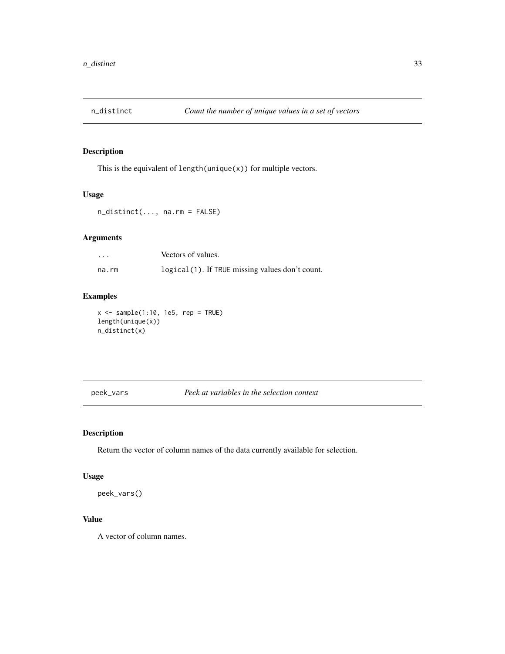<span id="page-32-0"></span>

### Description

This is the equivalent of length(unique(x)) for multiple vectors.

### Usage

n\_distinct(..., na.rm = FALSE)

### Arguments

| $\cdots$ | Vectors of values.                              |
|----------|-------------------------------------------------|
| na.rm    | logical(1). If TRUE missing values don't count. |

### Examples

 $x \leq -$  sample(1:10, 1e5, rep = TRUE) length(unique(x)) n\_distinct(x)

peek\_vars *Peek at variables in the selection context*

### Description

Return the vector of column names of the data currently available for selection.

### Usage

peek\_vars()

### Value

A vector of column names.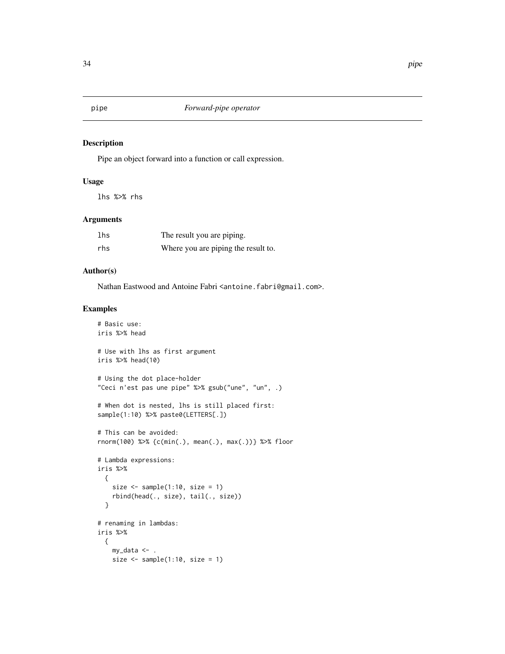<span id="page-33-0"></span>

#### Description

Pipe an object forward into a function or call expression.

### Usage

lhs %>% rhs

### Arguments

| lhs | The result you are piping.          |
|-----|-------------------------------------|
| rhs | Where you are piping the result to. |

### Author(s)

Nathan Eastwood and Antoine Fabri <antoine.fabri@gmail.com>.

```
# Basic use:
iris %>% head
# Use with lhs as first argument
iris %>% head(10)
# Using the dot place-holder
"Ceci n'est pas une pipe" %>% gsub("une", "un", .)
# When dot is nested, lhs is still placed first:
sample(1:10) %>% paste0(LETTERS[.])
# This can be avoided:
rnorm(100) %>% {c(min(.), mean(.), max(.))} %>% floor
# Lambda expressions:
iris %>%
  {
   size \leq sample(1:10, size = 1)
   rbind(head(., size), tail(., size))
  }
# renaming in lambdas:
iris %>%
  {
   my_data <- .
   size \leq sample(1:10, size = 1)
```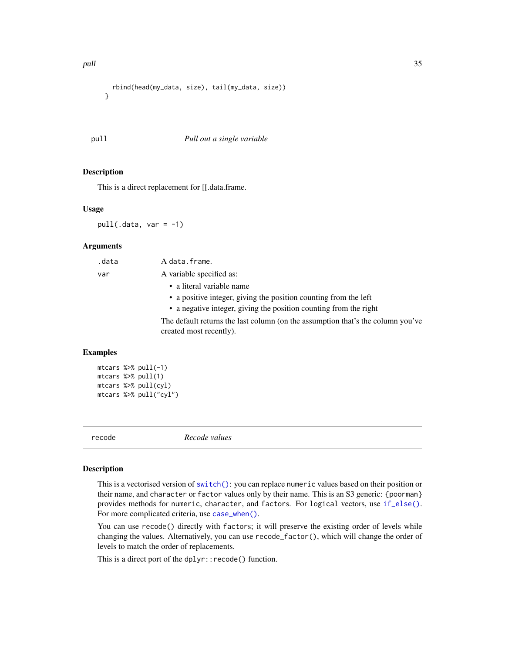```
rbind(head(my_data, size), tail(my_data, size))
}
```
#### pull *Pull out a single variable*

#### Description

This is a direct replacement for [[.data.frame.

#### Usage

 $pull(.data, var = -1)$ 

#### **Arguments**

| .data | A data.frame.                                                                                              |
|-------|------------------------------------------------------------------------------------------------------------|
| var   | A variable specified as:                                                                                   |
|       | • a literal variable name                                                                                  |
|       | • a positive integer, giving the position counting from the left                                           |
|       | • a negative integer, giving the position counting from the right                                          |
|       | The default returns the last column (on the assumption that's the column you've<br>created most recently). |
|       |                                                                                                            |

#### Examples

```
mtcars %>% pull(-1)
mtcars %>% pull(1)
mtcars %>% pull(cyl)
mtcars %>% pull("cyl")
```
<span id="page-34-1"></span>

recode *Recode values*

#### Description

This is a vectorised version of [switch\(\)](#page-0-0): you can replace numeric values based on their position or their name, and character or factor values only by their name. This is an S3 generic: {poorman} provides methods for numeric, character, and factors. For logical vectors, use [if\\_else\(\)](#page-22-1). For more complicated criteria, use [case\\_when\(\)](#page-6-1).

You can use recode() directly with factors; it will preserve the existing order of levels while changing the values. Alternatively, you can use recode\_factor(), which will change the order of levels to match the order of replacements.

This is a direct port of the dplyr::recode() function.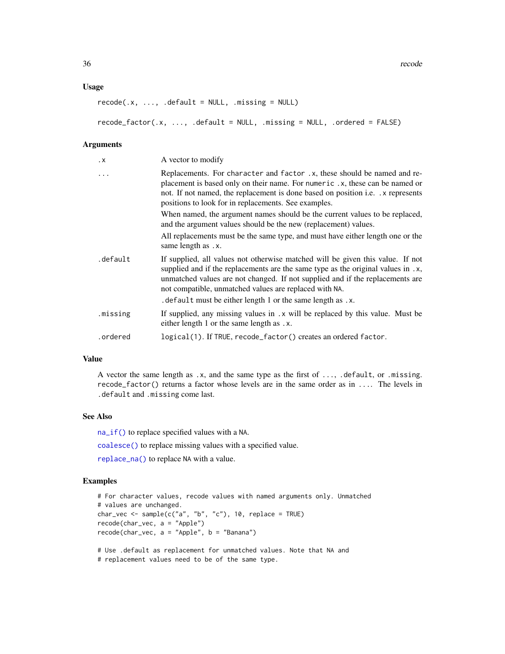#### <span id="page-35-0"></span>Usage

```
recode(x, ..., .default = NULL, .missing = NULL)recode_factor(.x, ..., .default = NULL, .missing = NULL, .ordered = FALSE)
```
#### Arguments

| $\cdot x$ | A vector to modify                                                                                                                                                                                                                                                                                                                                                           |
|-----------|------------------------------------------------------------------------------------------------------------------------------------------------------------------------------------------------------------------------------------------------------------------------------------------------------------------------------------------------------------------------------|
| .         | Replacements. For character and factor .x, these should be named and re-<br>placement is based only on their name. For numeric .x, these can be named or<br>not. If not named, the replacement is done based on position <i>i.e.</i> x represents<br>positions to look for in replacements. See examples.                                                                    |
|           | When named, the argument names should be the current values to be replaced,<br>and the argument values should be the new (replacement) values.                                                                                                                                                                                                                               |
|           | All replacements must be the same type, and must have either length one or the<br>same length as .x.                                                                                                                                                                                                                                                                         |
| .default  | If supplied, all values not otherwise matched will be given this value. If not<br>supplied and if the replacements are the same type as the original values in .x,<br>unmatched values are not changed. If not supplied and if the replacements are<br>not compatible, unmatched values are replaced with NA.<br>. default must be either length 1 or the same length as .x. |
| .missing  | If supplied, any missing values in .x will be replaced by this value. Must be<br>either length 1 or the same length as .x.                                                                                                                                                                                                                                                   |
| .ordered  | logical(1). If TRUE, recode_factor() creates an ordered factor.                                                                                                                                                                                                                                                                                                              |

### Value

A vector the same length as .x, and the same type as the first of ..., .default, or .missing. recode\_factor() returns a factor whose levels are in the same order as in .... The levels in .default and .missing come last.

#### See Also

[na\\_if\(\)](#page-28-1) to replace specified values with a NA.

[coalesce\(\)](#page-8-1) to replace missing values with a specified value.

[replace\\_na\(\)](#page-39-1) to replace NA with a value.

#### Examples

```
# For character values, recode values with named arguments only. Unmatched
# values are unchanged.
char_vec <- sample(c("a", "b", "c"), 10, replace = TRUE)
recode(char_vec, a = "Apple")
recode(char_vec, a = "Apple", b = "Banana")
# Use .default as replacement for unmatched values. Note that NA and
```
# replacement values need to be of the same type.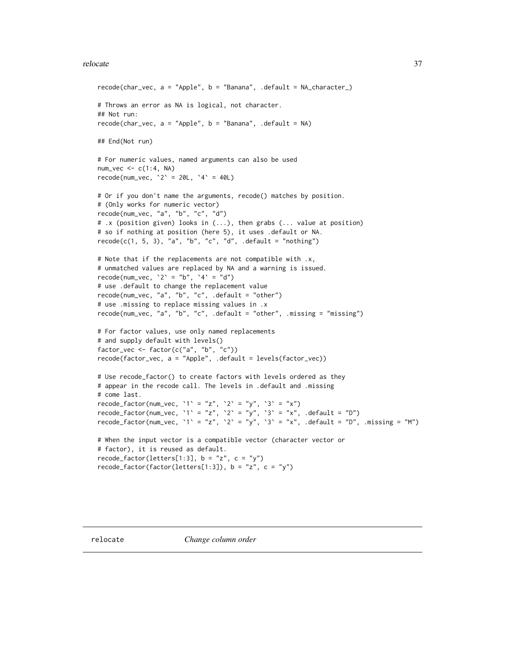#### <span id="page-36-0"></span>relocate 37

```
recode(char_vec, a = "Apple", b = "Banana", .default = NA_character_)
# Throws an error as NA is logical, not character.
## Not run:
recode(char\_vec, a = "Apple", b = "Banana", .default = NA)## End(Not run)
# For numeric values, named arguments can also be used
num\_vec \leftarrow c(1:4, NA)recode(num_vec, 2^2 = 20L, 4^2 = 40L)
# Or if you don't name the arguments, recode() matches by position.
# (Only works for numeric vector)
recode(num_vec, "a", "b", "c", "d")
# .x (position given) looks in (...), then grabs (... value at position)
# so if nothing at position (here 5), it uses .default or NA.
recode(c(1, 5, 3), "a", "b", "c", "d", .default = "nothing")# Note that if the replacements are not compatible with .x,
# unmatched values are replaced by NA and a warning is issued.
recode(num_vec, '2' = "b", '4' = "d")
# use .default to change the replacement value
recode(num_vec, "a", "b", "c", .default = "other")
# use .missing to replace missing values in .x
recode(num_vec, "a", "b", "c", .default = "other", .missing = "missing")
# For factor values, use only named replacements
# and supply default with levels()
factor_vec <- factor(c("a", "b", "c"))
recode(factor_vec, a = "Apple", .default = levels(factor_vec))
# Use recode_factor() to create factors with levels ordered as they
# appear in the recode call. The levels in .default and .missing
# come last.
recode_factor(num_vec, '1' = "z", '2' = "y", '3' = "x")
recode_factor(num_vec, `1` = "z", `2` = "y", `3` = "x", .default = "D")
recode_factor(num_vec, '1' = "z", '2' = "y", '3' = "x", .default = "D", .missing = "M")
# When the input vector is a compatible vector (character vector or
# factor), it is reused as default.
recode_factor(letters[1:3], b = "z", c = "y")recode_factor(factor(letters[1:3]), b = "z", c = "y")
```
<span id="page-36-1"></span>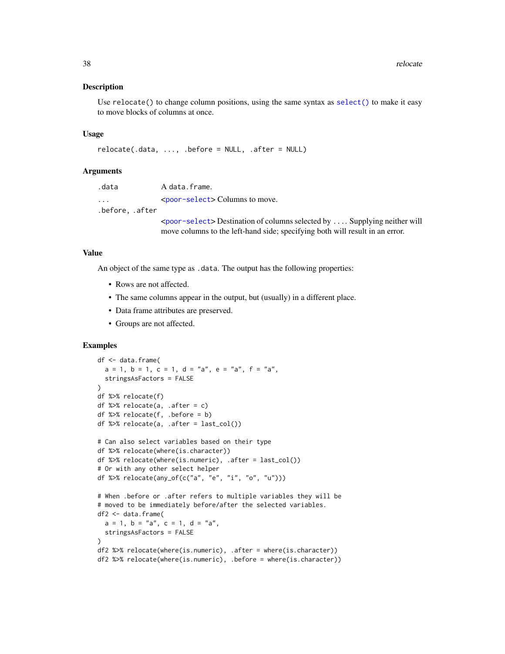#### <span id="page-37-0"></span>Description

Use  $reloct()$  to change column positions, using the same syntax as  $select()$  to make it easy to move blocks of columns at once.

#### Usage

```
relocate(.data, ..., .before = NULL, .after = NULL)
```
#### Arguments

| .data                   | A data.frame.                                                                                     |
|-------------------------|---------------------------------------------------------------------------------------------------|
| $\cdot$ $\cdot$ $\cdot$ | <poor-select> Columns to move.</poor-select>                                                      |
| .before. .after         |                                                                                                   |
|                         | $\epsilon$ <poor-select> Destination of columns selected by  Supplying neither will</poor-select> |

move columns to the left-hand side; specifying both will result in an error.

#### Value

An object of the same type as .data. The output has the following properties:

- Rows are not affected.
- The same columns appear in the output, but (usually) in a different place.
- Data frame attributes are preserved.
- Groups are not affected.

```
df <- data.frame(
  a = 1, b = 1, c = 1, d = "a", e = "a", f = "a",stringsAsFactors = FALSE
\lambdadf %>% relocate(f)
df %>% relocate(a, .after = c)
df %>% relocate(f, .before = b)
df %>% relocate(a, .after = last_col())
# Can also select variables based on their type
df %>% relocate(where(is.character))
df %>% relocate(where(is.numeric), .after = last_col())
# Or with any other select helper
df %>% relocate(any_of(c("a", "e", "i", "o", "u")))
# When .before or .after refers to multiple variables they will be
# moved to be immediately before/after the selected variables.
df2 <- data.frame(
  a = 1, b = "a", c = 1, d = "a",stringsAsFactors = FALSE
)
df2 %>% relocate(where(is.numeric), .after = where(is.character))
df2 %>% relocate(where(is.numeric), .before = where(is.character))
```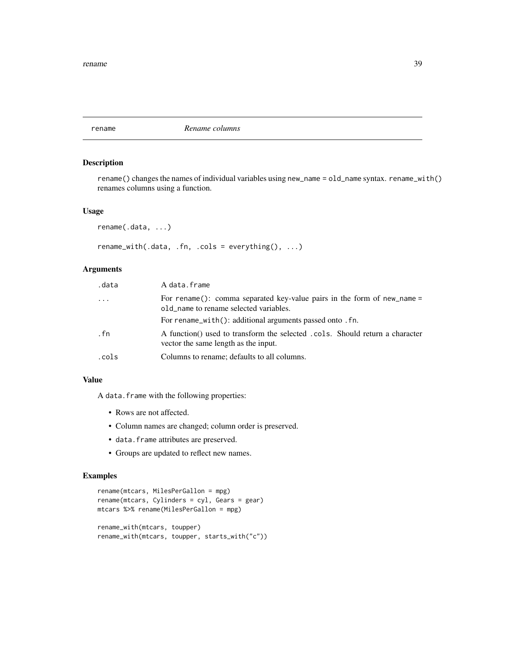<span id="page-38-0"></span>rename *Rename columns*

### Description

rename() changes the names of individual variables using new\_name = old\_name syntax. rename\_with() renames columns using a function.

#### Usage

rename(.data, ...)

rename\_with(.data, .fn, .cols = everything(), ...)

### Arguments

| .data | A data.frame                                                                                                         |
|-------|----------------------------------------------------------------------------------------------------------------------|
| .     | For rename(): comma separated key-value pairs in the form of new name $=$<br>old_name to rename selected variables.  |
|       | For rename_with(): additional arguments passed onto . fn.                                                            |
| . fn  | A function() used to transform the selected .cols. Should return a character<br>vector the same length as the input. |
| .cols | Columns to rename; defaults to all columns.                                                                          |

#### Value

A data.frame with the following properties:

- Rows are not affected.
- Column names are changed; column order is preserved.
- data.frame attributes are preserved.
- Groups are updated to reflect new names.

```
rename(mtcars, MilesPerGallon = mpg)
rename(mtcars, Cylinders = cyl, Gears = gear)
mtcars %>% rename(MilesPerGallon = mpg)
rename_with(mtcars, toupper)
rename_with(mtcars, toupper, starts_with("c"))
```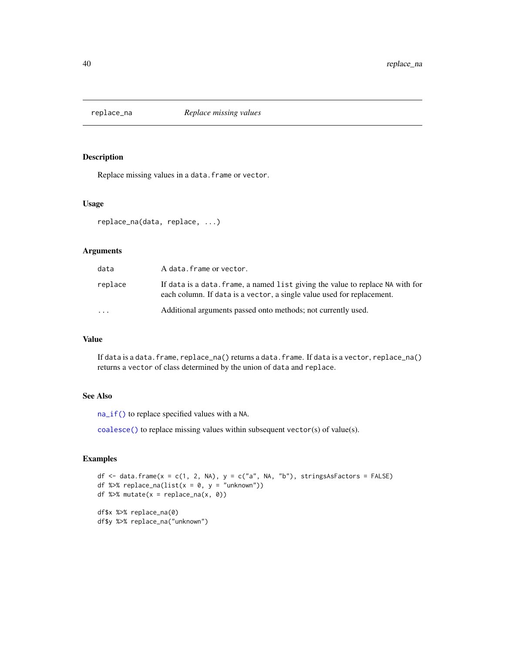<span id="page-39-1"></span><span id="page-39-0"></span>

#### Description

Replace missing values in a data.frame or vector.

#### Usage

```
replace_na(data, replace, ...)
```
### Arguments

| data    | A data.frame or vector.                                                                                                                                  |
|---------|----------------------------------------------------------------------------------------------------------------------------------------------------------|
| replace | If data is a data. frame, a named list giving the value to replace NA with for<br>each column. If data is a vector, a single value used for replacement. |
| $\cdot$ | Additional arguments passed onto methods; not currently used.                                                                                            |

#### Value

If data is a data.frame, replace\_na() returns a data.frame. If data is a vector, replace\_na() returns a vector of class determined by the union of data and replace.

### See Also

[na\\_if\(\)](#page-28-1) to replace specified values with a NA.

[coalesce\(\)](#page-8-1) to replace missing values within subsequent vector(s) of value(s).

### Examples

```
df \le data.frame(x = c(1, 2, NA), y = c("a", NA, "b"), stringsAsFactors = FALSE)
df %\gg replace_na(list(x = 0, y = "unknown"))
df %>% mutate(x = replace_na(x, 0))
df$x %>% replace_na(0)
```
df\$y %>% replace\_na("unknown")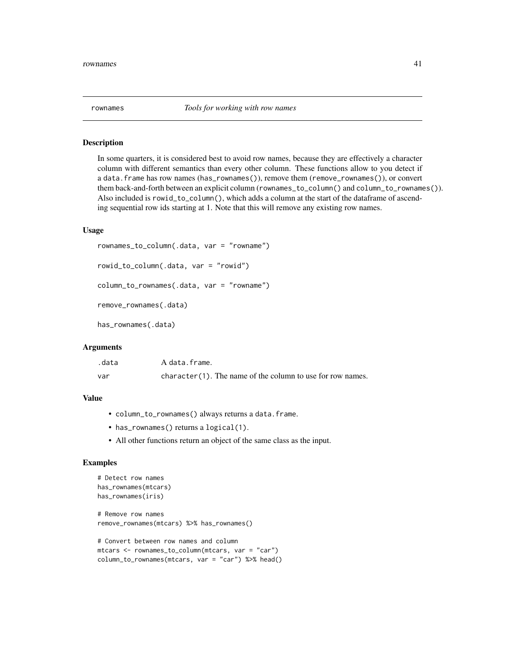<span id="page-40-0"></span>

#### Description

In some quarters, it is considered best to avoid row names, because they are effectively a character column with different semantics than every other column. These functions allow to you detect if a data.frame has row names (has\_rownames()), remove them (remove\_rownames()), or convert them back-and-forth between an explicit column (rownames\_to\_column() and column\_to\_rownames()). Also included is rowid\_to\_column(), which adds a column at the start of the dataframe of ascending sequential row ids starting at 1. Note that this will remove any existing row names.

#### Usage

```
rownames_to_column(.data, var = "rowname")
```

```
rowid_to_column(.data, var = "rowid")
```

```
column_to_rownames(.data, var = "rowname")
```

```
remove_rownames(.data)
```
has\_rownames(.data)

#### Arguments

| .data | A data.frame.                                                 |
|-------|---------------------------------------------------------------|
| var   | $character(1)$ . The name of the column to use for row names. |

#### Value

- column\_to\_rownames() always returns a data.frame.
- has\_rownames() returns a logical(1).
- All other functions return an object of the same class as the input.

```
# Detect row names
has_rownames(mtcars)
has_rownames(iris)
# Remove row names
remove_rownames(mtcars) %>% has_rownames()
```

```
# Convert between row names and column
mtcars <- rownames_to_column(mtcars, var = "car")
column_to_rownames(mtcars, var = "car") %>% head()
```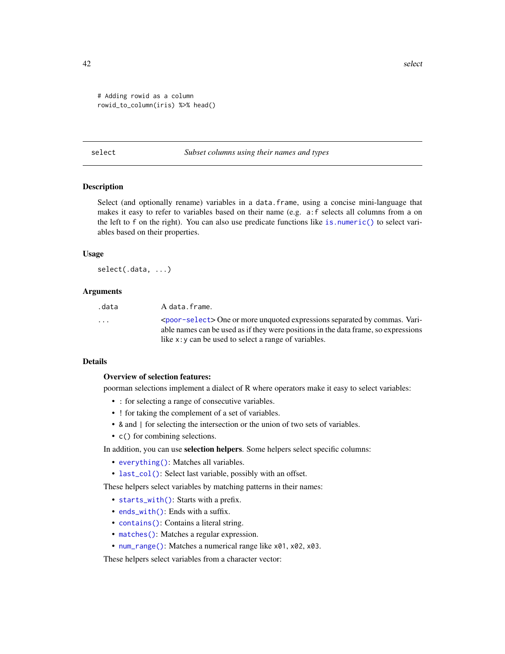<span id="page-41-0"></span>42 select the selection of the selection of the selection of the selection of the selection of the selection of the selection of the selection of the selection of the selection of the selection of the selection of the sele

```
# Adding rowid as a column
rowid_to_column(iris) %>% head()
```
#### <span id="page-41-1"></span>select *Subset columns using their names and types*

#### Description

Select (and optionally rename) variables in a data.frame, using a concise mini-language that makes it easy to refer to variables based on their name (e.g. a:f selects all columns from a on the left to f on the right). You can also use predicate functions like [is.numeric\(\)](#page-0-0) to select variables based on their properties.

### Usage

select(.data, ...)

#### Arguments

| .data                   | A data.frame.                                                                           |
|-------------------------|-----------------------------------------------------------------------------------------|
| $\cdot$ $\cdot$ $\cdot$ | <poor-select> One or more unquoted expressions separated by commas. Vari-</poor-select> |
|                         | able names can be used as if they were positions in the data frame, so expressions      |
|                         | like $x: y$ can be used to select a range of variables.                                 |

#### Details

#### Overview of selection features:

poorman selections implement a dialect of R where operators make it easy to select variables:

- : for selecting a range of consecutive variables.
- ! for taking the complement of a set of variables.
- & and | for selecting the intersection or the union of two sets of variables.
- c() for combining selections.

In addition, you can use selection helpers. Some helpers select specific columns:

- [everything\(\)](#page-43-2): Matches all variables.
- [last\\_col\(\)](#page-43-2): Select last variable, possibly with an offset.

These helpers select variables by matching patterns in their names:

- [starts\\_with\(\)](#page-43-2): Starts with a prefix.
- [ends\\_with\(\)](#page-43-2): Ends with a suffix.
- [contains\(\)](#page-43-2): Contains a literal string.
- [matches\(\)](#page-43-2): Matches a regular expression.
- [num\\_range\(\)](#page-43-2): Matches a numerical range like x01, x02, x03.

These helpers select variables from a character vector: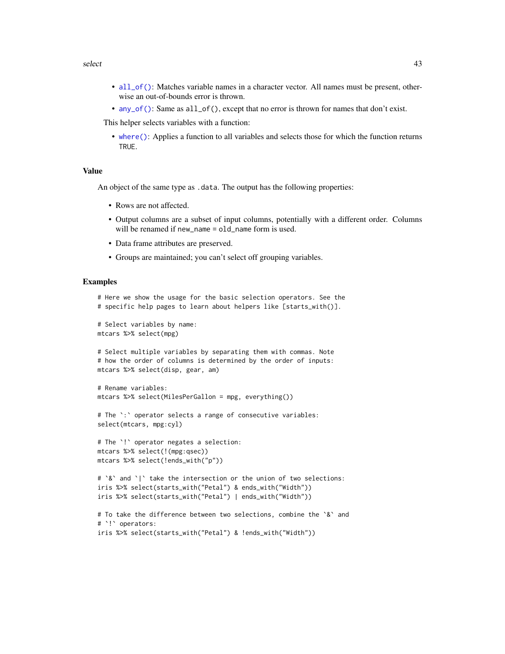#### <span id="page-42-0"></span>select 43

- [all\\_of\(\)](#page-43-2): Matches variable names in a character vector. All names must be present, otherwise an out-of-bounds error is thrown.
- [any\\_of\(\)](#page-43-2): Same as all\_of(), except that no error is thrown for names that don't exist.

This helper selects variables with a function:

• [where\(\)](#page-48-1): Applies a function to all variables and selects those for which the function returns TRUE.

#### Value

An object of the same type as .data. The output has the following properties:

- Rows are not affected.
- Output columns are a subset of input columns, potentially with a different order. Columns will be renamed if new\_name = old\_name form is used.
- Data frame attributes are preserved.
- Groups are maintained; you can't select off grouping variables.

```
# Here we show the usage for the basic selection operators. See the
# specific help pages to learn about helpers like [starts_with()].
# Select variables by name:
mtcars %>% select(mpg)
# Select multiple variables by separating them with commas. Note
# how the order of columns is determined by the order of inputs:
mtcars %>% select(disp, gear, am)
# Rename variables:
mtcars %>% select(MilesPerGallon = mpg, everything())
# The `:` operator selects a range of consecutive variables:
select(mtcars, mpg:cyl)
# The `!` operator negates a selection:
mtcars %>% select(!(mpg:qsec))
mtcars %>% select(!ends_with("p"))
# `&` and `|` take the intersection or the union of two selections:
iris %>% select(starts_with("Petal") & ends_with("Width"))
iris %>% select(starts_with("Petal") | ends_with("Width"))
# To take the difference between two selections, combine the `&` and
# `!` operators:
```

```
iris %>% select(starts_with("Petal") & !ends_with("Width"))
```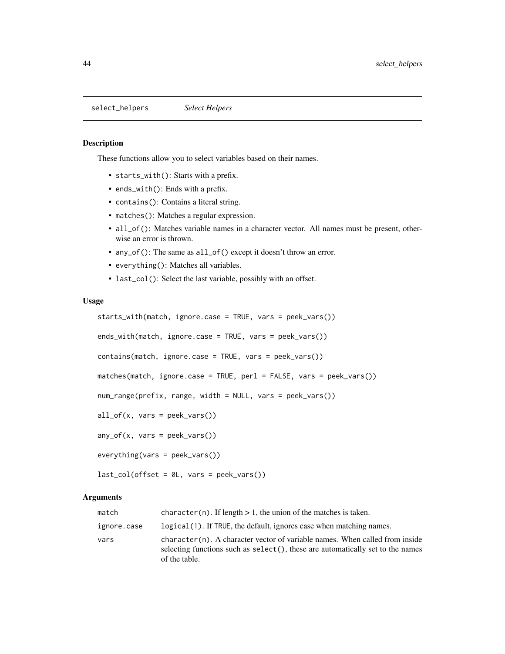<span id="page-43-1"></span><span id="page-43-0"></span>select\_helpers *Select Helpers*

#### <span id="page-43-2"></span>Description

These functions allow you to select variables based on their names.

- starts\_with(): Starts with a prefix.
- ends\_with(): Ends with a prefix.
- contains(): Contains a literal string.
- matches(): Matches a regular expression.
- all\_of(): Matches variable names in a character vector. All names must be present, otherwise an error is thrown.
- any\_of(): The same as all\_of() except it doesn't throw an error.
- everything(): Matches all variables.
- last\_col(): Select the last variable, possibly with an offset.

#### Usage

```
starts_with(match, ignore.case = TRUE, vars = peek_vars())
ends_with(match, ignore.case = TRUE, vars = peek_vars())
contains(match, ignore.case = TRUE, vars = peek_vars())
matches(match, ignore.case = TRUE, perl = FALSE, vars = peek_vars())
num_range(prefix, range, width = NULL, vars = peek_vars())
all_of(x, vars = peek_vars())any_of(x, vars = peek_vars())everything(vars = peek_vars())
```
last\_col(offset = 0L, vars = peek\_vars())

#### Arguments

| match       | character (n). If length $> 1$ , the union of the matches is taken.                                                                                                             |
|-------------|---------------------------------------------------------------------------------------------------------------------------------------------------------------------------------|
| ignore.case | logical (1). If TRUE, the default, ignores case when matching names.                                                                                                            |
| vars        | character (n). A character vector of variable names. When called from inside<br>selecting functions such as select(), these are automatically set to the names<br>of the table. |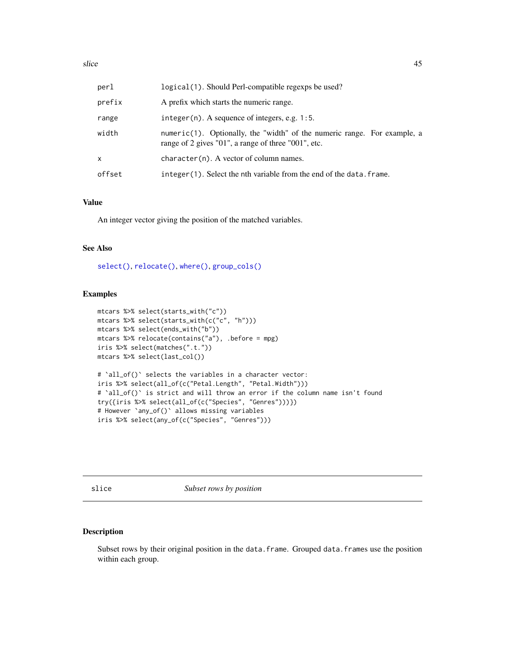<span id="page-44-0"></span>

| perl   | logical(1). Should Perl-compatible regexps be used?                                                                             |
|--------|---------------------------------------------------------------------------------------------------------------------------------|
| prefix | A prefix which starts the numeric range.                                                                                        |
| range  | integer $(n)$ . A sequence of integers, e.g. 1:5.                                                                               |
| width  | numeric(1). Optionally, the "width" of the numeric range. For example, a<br>range of 2 gives "01", a range of three "001", etc. |
| x      | $character(n)$ . A vector of column names.                                                                                      |
| offset | integer(1). Select the nth variable from the end of the data. frame.                                                            |

#### Value

An integer vector giving the position of the matched variables.

### See Also

[select\(\)](#page-41-1), [relocate\(\)](#page-36-1), [where\(\)](#page-48-1), [group\\_cols\(\)](#page-19-1)

#### Examples

```
mtcars %>% select(starts_with("c"))
mtcars %>% select(starts_with(c("c", "h")))
mtcars %>% select(ends_with("b"))
mtcars %>% relocate(contains("a"), .before = mpg)
iris %>% select(matches(".t."))
mtcars %>% select(last_col())
# `all_of()` selects the variables in a character vector:
iris %>% select(all_of(c("Petal.Length", "Petal.Width")))
# `all_of()` is strict and will throw an error if the column name isn't found
try({iris %>% select(all_of(c("Species", "Genres")))})
# However `any_of()` allows missing variables
iris %>% select(any_of(c("Species", "Genres")))
```
slice *Subset rows by position*

#### Description

Subset rows by their original position in the data.frame. Grouped data.frames use the position within each group.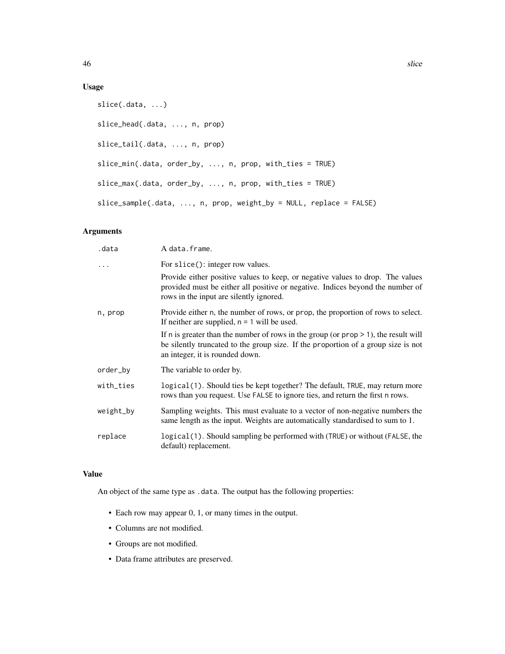### Usage

```
slice(.data, ...)
slice_head(.data, ..., n, prop)
slice_tail(.data, ..., n, prop)
slice_min(.data, order_by, ..., n, prop, with_ties = TRUE)
slice_max(.data, order_by, ..., n, prop, with_ties = TRUE)
slice_sample(.data, ..., n, prop, weight_by = NULL, replace = FALSE)
```
### Arguments

| .data     | A data.frame.                                                                                                                                                                                                  |
|-----------|----------------------------------------------------------------------------------------------------------------------------------------------------------------------------------------------------------------|
| .         | For slice(): integer row values.                                                                                                                                                                               |
|           | Provide either positive values to keep, or negative values to drop. The values<br>provided must be either all positive or negative. Indices beyond the number of<br>rows in the input are silently ignored.    |
| n, prop   | Provide either n, the number of rows, or prop, the proportion of rows to select.<br>If neither are supplied, $n = 1$ will be used.                                                                             |
|           | If n is greater than the number of rows in the group (or $prop > 1$ ), the result will<br>be silently truncated to the group size. If the proportion of a group size is not<br>an integer, it is rounded down. |
| order_by  | The variable to order by.                                                                                                                                                                                      |
| with_ties | logical (1). Should ties be kept together? The default, TRUE, may return more<br>rows than you request. Use FALSE to ignore ties, and return the first n rows.                                                 |
| weight_by | Sampling weights. This must evaluate to a vector of non-negative numbers the<br>same length as the input. Weights are automatically standardised to sum to 1.                                                  |
| replace   | logical (1). Should sampling be performed with (TRUE) or without (FALSE, the<br>default) replacement.                                                                                                          |

### Value

An object of the same type as .data. The output has the following properties:

- Each row may appear 0, 1, or many times in the output.
- Columns are not modified.
- Groups are not modified.
- Data frame attributes are preserved.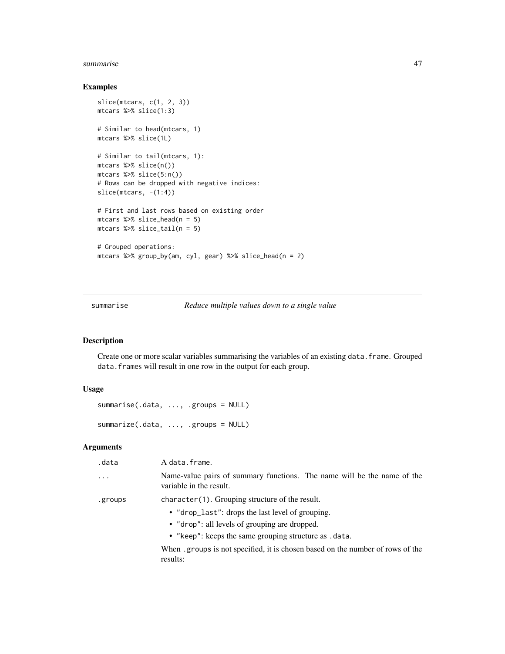#### <span id="page-46-0"></span>summarise and the set of the set of the set of the set of the set of the set of the set of the set of the set of the set of the set of the set of the set of the set of the set of the set of the set of the set of the set of

### Examples

```
slice(mtcars, c(1, 2, 3))
mtcars %>% slice(1:3)
# Similar to head(mtcars, 1)
mtcars %>% slice(1L)
# Similar to tail(mtcars, 1):
mtcars %>% slice(n())
mtcars %>% slice(5:n())
# Rows can be dropped with negative indices:
slice(mtcars, -(1:4))
# First and last rows based on existing order
mtcars %>% slice_head(n = 5)
mtcars %>% slice_tail(n = 5)
# Grouped operations:
mtcars %>% group_by(am, cyl, gear) %>% slice_head(n = 2)
```
<span id="page-46-1"></span>summarise *Reduce multiple values down to a single value*

### Description

Create one or more scalar variables summarising the variables of an existing data.frame. Grouped data.frames will result in one row in the output for each group.

### Usage

```
summarise(.data, ..., .groups = NULL)
summarize(.data, ..., .groups = NULL)
```
### Arguments

| .data    | A data.frame.                                                                                      |
|----------|----------------------------------------------------------------------------------------------------|
| $\cdots$ | Name-value pairs of summary functions. The name will be the name of the<br>variable in the result. |
| .groups  | character(1). Grouping structure of the result.                                                    |
|          | • "drop_last": drops the last level of grouping.                                                   |
|          | • "drop": all levels of grouping are dropped.                                                      |
|          | • "keep": keeps the same grouping structure as .data.                                              |
|          | When groups is not specified, it is chosen based on the number of rows of the<br>results:          |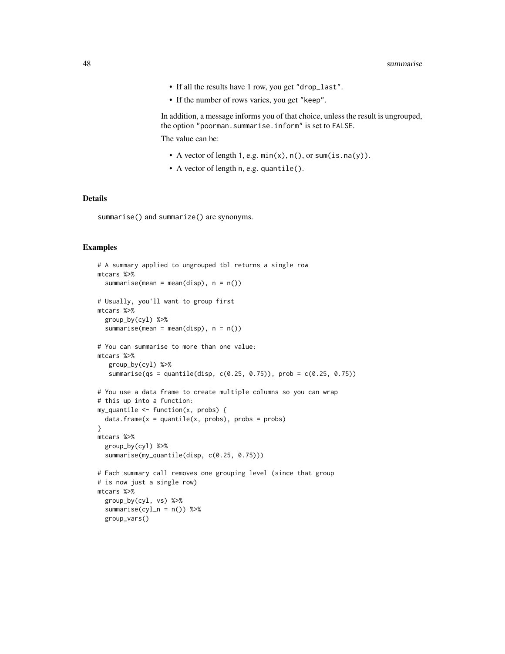- If all the results have 1 row, you get "drop\_last".
- If the number of rows varies, you get "keep".

In addition, a message informs you of that choice, unless the result is ungrouped, the option "poorman.summarise.inform" is set to FALSE.

The value can be:

- A vector of length 1, e.g.  $min(x)$ ,  $n()$ , or sum(is.na(y)).
- A vector of length n, e.g. quantile().

#### Details

summarise() and summarize() are synonyms.

```
# A summary applied to ungrouped tbl returns a single row
mtcars %>%
  summarise(mean = mean(disp), n = n())
# Usually, you'll want to group first
mtcars %>%
  group_by(cyl) %>%
  summarise(mean = mean(disp), n = n())
# You can summarise to more than one value:
mtcars %>%
   group_by(cyl) %>%
   summarise(qs = quantile(disp, c(0.25, 0.75)), prob = c(0.25, 0.75))
# You use a data frame to create multiple columns so you can wrap
# this up into a function:
my_quantile \leftarrow function(x, probs) {
  data-frame(x = quantile(x, probs), probs = probs)}
mtcars %>%
  group_by(cyl) %>%
  summarise(my_quantile(disp, c(0.25, 0.75)))
# Each summary call removes one grouping level (since that group
# is now just a single row)
mtcars %>%
  group_by(cyl, vs) %>%
  summarise(cyl_n = n()) %>%
  group_vars()
```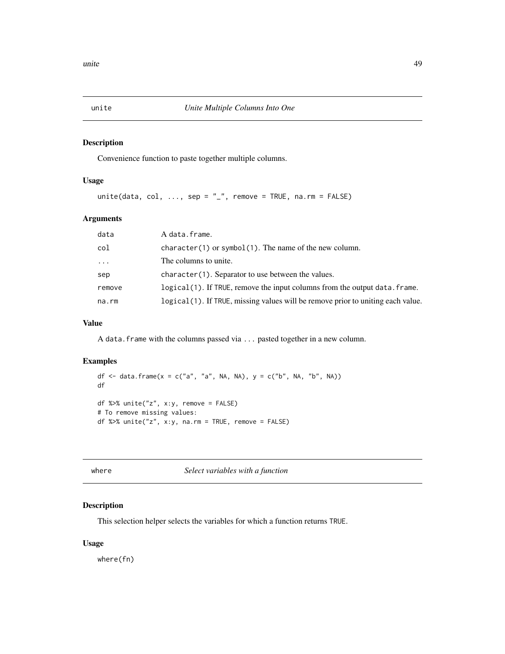<span id="page-48-0"></span>

### Description

Convenience function to paste together multiple columns.

### Usage

```
unite(data, col, ..., sep = "_", remove = TRUE, na.rm = FALSE)
```
### Arguments

| data   | A data.frame.                                                                   |
|--------|---------------------------------------------------------------------------------|
| col    | $character(1)$ or symbol(1). The name of the new column.                        |
| .      | The columns to unite.                                                           |
| sep    | character (1). Separator to use between the values.                             |
| remove | logical(1). If TRUE, remove the input columns from the output data. frame.      |
| na.rm  | logical(1). If TRUE, missing values will be remove prior to uniting each value. |

### Value

A data. frame with the columns passed via ... pasted together in a new column.

#### Examples

df  $\le$  data.frame(x = c("a", "a", NA, NA), y = c("b", NA, "b", NA)) df df %>% unite("z", x:y, remove = FALSE) # To remove missing values: df %>% unite("z", x:y, na.rm = TRUE, remove = FALSE)

<span id="page-48-1"></span>

where *Select variables with a function*

### Description

This selection helper selects the variables for which a function returns TRUE.

### Usage

where(fn)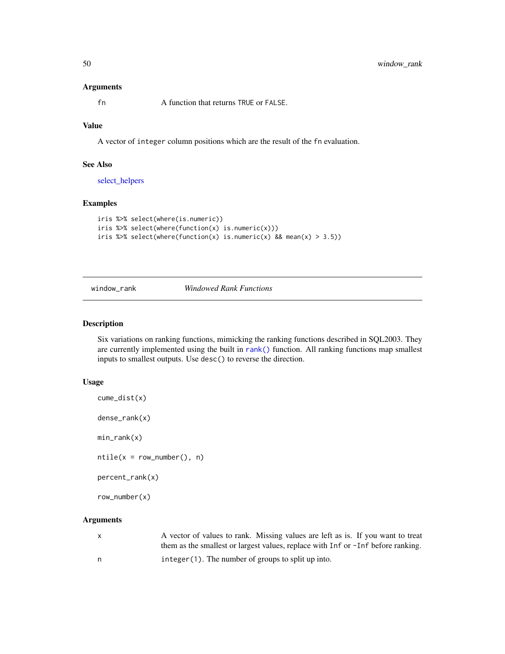#### Arguments

fn A function that returns TRUE or FALSE.

### Value

A vector of integer column positions which are the result of the fn evaluation.

### See Also

[select\\_helpers](#page-43-1)

### Examples

```
iris %>% select(where(is.numeric))
iris %>% select(where(function(x) is.numeric(x)))
iris %>% select(where(function(x) is.numeric(x) && mean(x) > 3.5))
```
window\_rank *Windowed Rank Functions*

#### <span id="page-49-1"></span>Description

Six variations on ranking functions, mimicking the ranking functions described in SQL2003. They are currently implemented using the built in [rank\(\)](#page-0-0) function. All ranking functions map smallest inputs to smallest outputs. Use desc() to reverse the direction.

### Usage

```
cume_dist(x)
```
dense\_rank(x)

min\_rank(x)

 $ntile(x = row_number(), n)$ 

percent\_rank(x)

row\_number(x)

#### Arguments

| $\mathsf{X}$ | A vector of values to rank. Missing values are left as is. If you want to treat  |
|--------------|----------------------------------------------------------------------------------|
|              | them as the smallest or largest values, replace with Inf or -Inf before ranking. |
| n,           | $integer(1)$ . The number of groups to split up into.                            |

<span id="page-49-0"></span>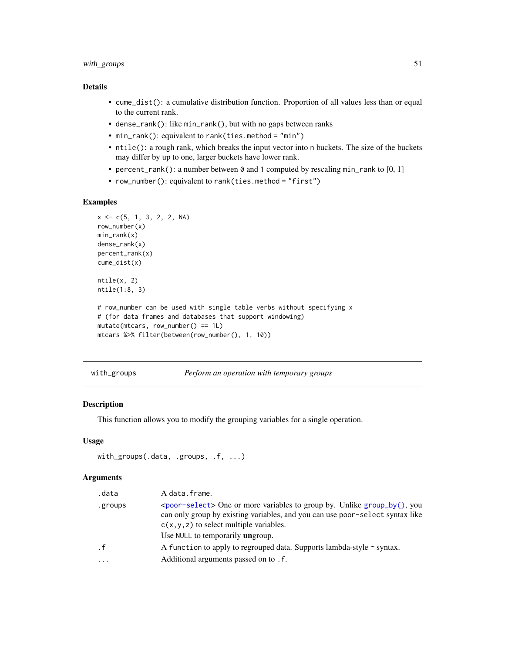### <span id="page-50-0"></span>with\_groups 51

### Details

- cume\_dist(): a cumulative distribution function. Proportion of all values less than or equal to the current rank.
- dense\_rank(): like min\_rank(), but with no gaps between ranks
- min\_rank(): equivalent to rank(ties.method = "min")
- ntile(): a rough rank, which breaks the input vector into n buckets. The size of the buckets may differ by up to one, larger buckets have lower rank.
- percent\_rank(): a number between  $\theta$  and 1 computed by rescaling min\_rank to [0, 1]
- row\_number(): equivalent to rank(ties.method = "first")

### Examples

```
x \leq -c(5, 1, 3, 2, 2, NA)row_number(x)
min_rank(x)
dense_rank(x)
percent_rank(x)
cume_dist(x)
ntile(x, 2)
ntile(1:8, 3)
# row_number can be used with single table verbs without specifying x
# (for data frames and databases that support windowing)
mutate(mtcars, row_number() == 1L)
mtcars %>% filter(between(row_number(), 1, 10))
```
with\_groups *Perform an operation with temporary groups*

### Description

This function allows you to modify the grouping variables for a single operation.

#### Usage

```
with_groups(.data, .groups, .f, ...)
```
### **Arguments**

| .data     | A data.frame.                                                                                                                                                                                                                                                  |
|-----------|----------------------------------------------------------------------------------------------------------------------------------------------------------------------------------------------------------------------------------------------------------------|
| .groups   | $\epsilon$ <poor-select <math="">\epsilon One or more variables to group by. Unlike group by (), you<br/>can only group by existing variables, and you can use poor-select syntax like<br/><math>c(x, y, z)</math> to select multiple variables.</poor-select> |
|           | Use NULL to temporarily <b>un</b> group.                                                                                                                                                                                                                       |
| $\cdot$ f | A function to apply to regrouped data. Supports lambda-style $\sim$ syntax.                                                                                                                                                                                    |
| .         | Additional arguments passed on to . f.                                                                                                                                                                                                                         |
|           |                                                                                                                                                                                                                                                                |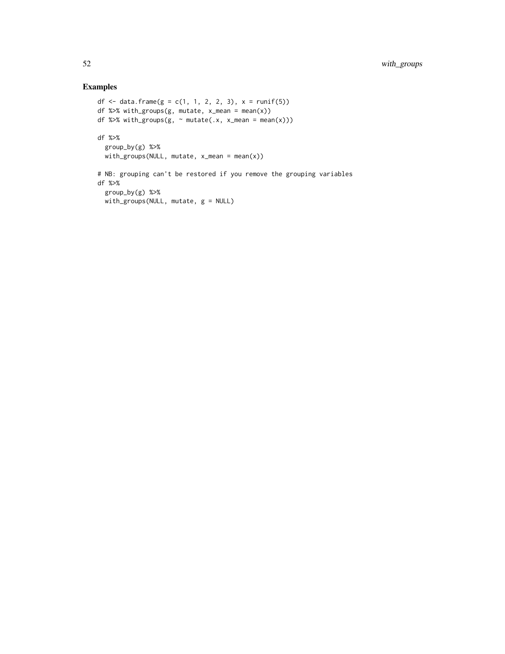```
df <- data.frame(g = c(1, 1, 2, 2, 3), x = runif(5))
df %>% with_groups(g, mutate, x_mean = mean(x))
df %\gg% with_groups(g, \sim mutate(.x, x_mean = mean(x)))
df %>%
  group_by(g) %>%
  with_groups(NULL, mutate, x_mean = mean(x))
# NB: grouping can't be restored if you remove the grouping variables
df %>%
  group_by(g) %>%
 with_groups(NULL, mutate, g = NULL)
```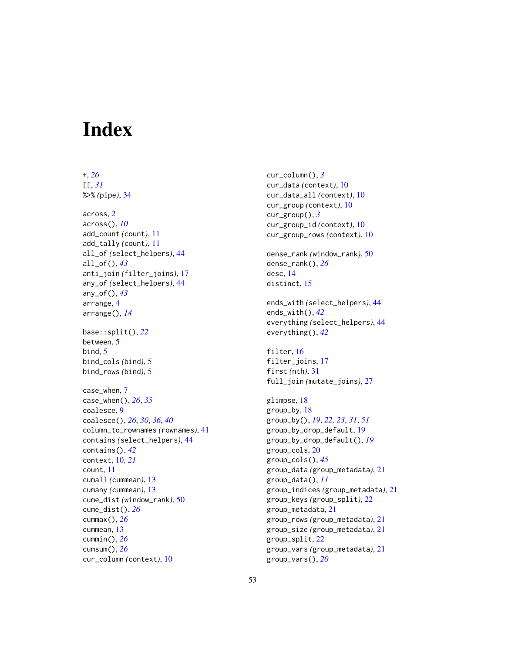# <span id="page-52-0"></span>**Index**

+, *[26](#page-25-0)*

[[, *[31](#page-30-0)* %>% *(*pipe*)*, [34](#page-33-0) across, [2](#page-1-0) across(), *[10](#page-9-0)* add\_count *(*count*)*, [11](#page-10-0) add\_tally *(*count*)*, [11](#page-10-0) all\_of *(*select\_helpers*)*, [44](#page-43-0) all\_of(), *[43](#page-42-0)* anti\_join *(*filter\_joins*)*, [17](#page-16-0) any\_of *(*select\_helpers*)*, [44](#page-43-0) any\_of(), *[43](#page-42-0)* arrange, [4](#page-3-0) arrange(), *[14](#page-13-0)* base::split(), *[22](#page-21-0)* between, [5](#page-4-0) bind, [5](#page-4-0) bind\_cols *(*bind*)*, [5](#page-4-0) bind\_rows *(*bind*)*, [5](#page-4-0) case\_when, [7](#page-6-0) case\_when(), *[26](#page-25-0)*, *[35](#page-34-0)* coalesce, [9](#page-8-0) coalesce(), *[26](#page-25-0)*, *[30](#page-29-0)*, *[36](#page-35-0)*, *[40](#page-39-0)* column\_to\_rownames *(*rownames*)*, [41](#page-40-0) contains *(*select\_helpers*)*, [44](#page-43-0) contains(), *[42](#page-41-0)* context, [10,](#page-9-0) *[21](#page-20-0)* count, [11](#page-10-0) cumall *(*cummean*)*, [13](#page-12-0) cumany *(*cummean*)*, [13](#page-12-0) cume\_dist *(*window\_rank*)*, [50](#page-49-0) cume\_dist(), *[26](#page-25-0)* cummax(), *[26](#page-25-0)* cummean, [13](#page-12-0) cummin(), *[26](#page-25-0)* cumsum(), *[26](#page-25-0)* cur\_column *(*context*)*, [10](#page-9-0)

cur\_column(), *[3](#page-2-0)* cur\_data *(*context*)*, [10](#page-9-0) cur\_data\_all *(*context*)*, [10](#page-9-0) cur\_group *(*context*)*, [10](#page-9-0) cur\_group(), *[3](#page-2-0)* cur\_group\_id *(*context*)*, [10](#page-9-0) cur\_group\_rows *(*context*)*, [10](#page-9-0) dense\_rank *(*window\_rank*)*, [50](#page-49-0) dense\_rank(), *[26](#page-25-0)* desc, [14](#page-13-0) distinct, [15](#page-14-0) ends\_with *(*select\_helpers*)*, [44](#page-43-0) ends\_with(), *[42](#page-41-0)* everything *(*select\_helpers*)*, [44](#page-43-0) everything(), *[42](#page-41-0)* filter, [16](#page-15-0) filter\_joins, [17](#page-16-0) first *(*nth*)*, [31](#page-30-0) full\_join *(*mutate\_joins*)*, [27](#page-26-0) glimpse, [18](#page-17-0) group\_by, [18](#page-17-0) group\_by(), *[19](#page-18-0)*, *[22,](#page-21-0) [23](#page-22-0)*, *[31](#page-30-0)*, *[51](#page-50-0)* group\_by\_drop\_default, [19](#page-18-0) group\_by\_drop\_default(), *[19](#page-18-0)* group\_cols, [20](#page-19-0) group\_cols(), *[45](#page-44-0)* group\_data *(*group\_metadata*)*, [21](#page-20-0) group\_data(), *[11](#page-10-0)* group\_indices *(*group\_metadata*)*, [21](#page-20-0) group\_keys *(*group\_split*)*, [22](#page-21-0) group\_metadata, [21](#page-20-0) group\_rows *(*group\_metadata*)*, [21](#page-20-0) group\_size *(*group\_metadata*)*, [21](#page-20-0) group\_split, [22](#page-21-0) group\_vars *(*group\_metadata*)*, [21](#page-20-0) group\_vars(), *[20](#page-19-0)*